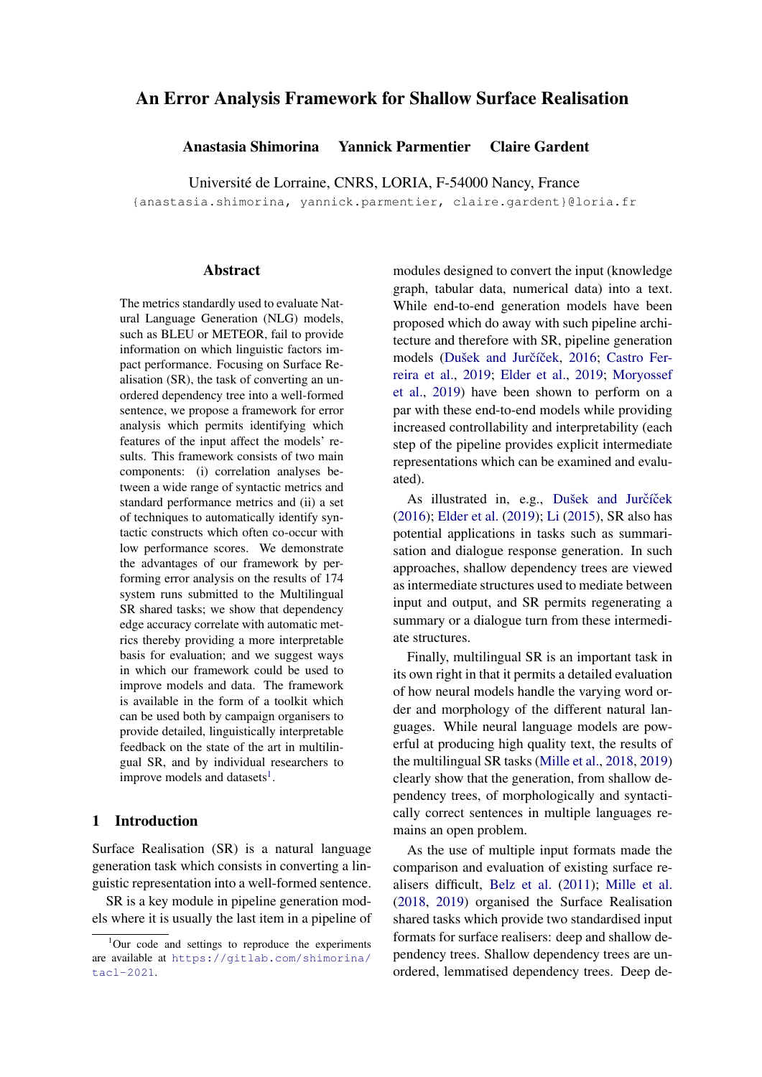# An Error Analysis Framework for Shallow Surface Realisation

Anastasia Shimorina Yannick Parmentier Claire Gardent

Université de Lorraine, CNRS, LORIA, F-54000 Nancy, France

{anastasia.shimorina, yannick.parmentier, claire.gardent}@loria.fr

#### **Abstract**

The metrics standardly used to evaluate Natural Language Generation (NLG) models, such as BLEU or METEOR, fail to provide information on which linguistic factors impact performance. Focusing on Surface Realisation (SR), the task of converting an unordered dependency tree into a well-formed sentence, we propose a framework for error analysis which permits identifying which features of the input affect the models' results. This framework consists of two main components: (i) correlation analyses between a wide range of syntactic metrics and standard performance metrics and (ii) a set of techniques to automatically identify syntactic constructs which often co-occur with low performance scores. We demonstrate the advantages of our framework by performing error analysis on the results of 174 system runs submitted to the Multilingual SR shared tasks; we show that dependency edge accuracy correlate with automatic metrics thereby providing a more interpretable basis for evaluation; and we suggest ways in which our framework could be used to improve models and data. The framework is available in the form of a toolkit which can be used both by campaign organisers to provide detailed, linguistically interpretable feedback on the state of the art in multilingual SR, and by individual researchers to improve models and datasets<sup>[1](#page-0-0)</sup>.

## 1 Introduction

Surface Realisation (SR) is a natural language generation task which consists in converting a linguistic representation into a well-formed sentence.

SR is a key module in pipeline generation models where it is usually the last item in a pipeline of

modules designed to convert the input (knowledge graph, tabular data, numerical data) into a text. While end-to-end generation models have been proposed which do away with such pipeline architecture and therefore with SR, pipeline generation models (Dušek and Jurčíček, [2016;](#page-12-0) [Castro Fer](#page-12-1)[reira et al.,](#page-12-1) [2019;](#page-12-1) [Elder et al.,](#page-12-2) [2019;](#page-12-2) [Moryossef](#page-14-0) [et al.,](#page-14-0) [2019\)](#page-14-0) have been shown to perform on a par with these end-to-end models while providing increased controllability and interpretability (each step of the pipeline provides explicit intermediate representations which can be examined and evaluated).

As illustrated in, e.g., Dušek and Jurčíček [\(2016\)](#page-12-0); [Elder et al.](#page-12-2) [\(2019\)](#page-12-2); [Li](#page-13-0) [\(2015\)](#page-13-0), SR also has potential applications in tasks such as summarisation and dialogue response generation. In such approaches, shallow dependency trees are viewed as intermediate structures used to mediate between input and output, and SR permits regenerating a summary or a dialogue turn from these intermediate structures.

Finally, multilingual SR is an important task in its own right in that it permits a detailed evaluation of how neural models handle the varying word order and morphology of the different natural languages. While neural language models are powerful at producing high quality text, the results of the multilingual SR tasks [\(Mille et al.,](#page-14-1) [2018,](#page-14-1) [2019\)](#page-14-2) clearly show that the generation, from shallow dependency trees, of morphologically and syntactically correct sentences in multiple languages remains an open problem.

As the use of multiple input formats made the comparison and evaluation of existing surface realisers difficult, [Belz et al.](#page-12-3) [\(2011\)](#page-12-3); [Mille et al.](#page-14-1) [\(2018,](#page-14-1) [2019\)](#page-14-2) organised the Surface Realisation shared tasks which provide two standardised input formats for surface realisers: deep and shallow dependency trees. Shallow dependency trees are unordered, lemmatised dependency trees. Deep de-

<span id="page-0-0"></span> $1$ Our code and settings to reproduce the experiments are available at [https://gitlab.com/shimorina/](https://gitlab.com/shimorina/tacl-2021) [tacl-2021](https://gitlab.com/shimorina/tacl-2021).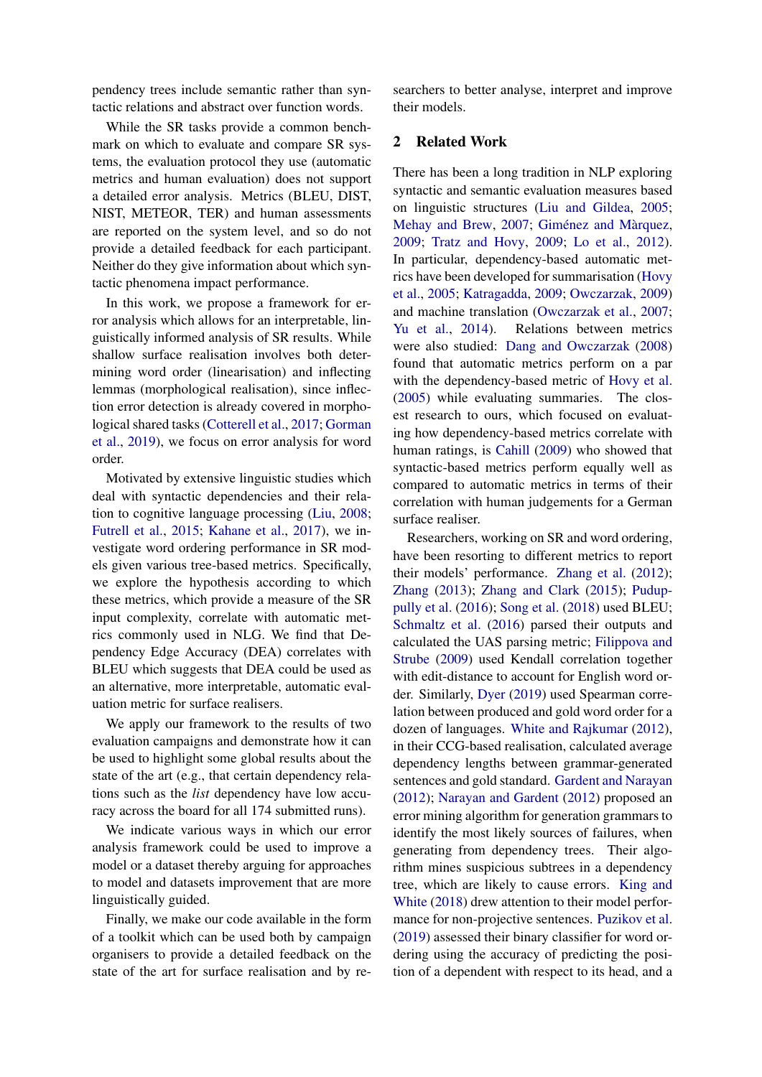pendency trees include semantic rather than syntactic relations and abstract over function words.

While the SR tasks provide a common benchmark on which to evaluate and compare SR systems, the evaluation protocol they use (automatic metrics and human evaluation) does not support a detailed error analysis. Metrics (BLEU, DIST, NIST, METEOR, TER) and human assessments are reported on the system level, and so do not provide a detailed feedback for each participant. Neither do they give information about which syntactic phenomena impact performance.

In this work, we propose a framework for error analysis which allows for an interpretable, linguistically informed analysis of SR results. While shallow surface realisation involves both determining word order (linearisation) and inflecting lemmas (morphological realisation), since inflection error detection is already covered in morphological shared tasks [\(Cotterell et al.,](#page-12-4) [2017;](#page-12-4) [Gorman](#page-13-1) [et al.,](#page-13-1) [2019\)](#page-13-1), we focus on error analysis for word order.

Motivated by extensive linguistic studies which deal with syntactic dependencies and their relation to cognitive language processing [\(Liu,](#page-13-2) [2008;](#page-13-2) [Futrell et al.,](#page-12-5) [2015;](#page-12-5) [Kahane et al.,](#page-13-3) [2017\)](#page-13-3), we investigate word ordering performance in SR models given various tree-based metrics. Specifically, we explore the hypothesis according to which these metrics, which provide a measure of the SR input complexity, correlate with automatic metrics commonly used in NLG. We find that Dependency Edge Accuracy (DEA) correlates with BLEU which suggests that DEA could be used as an alternative, more interpretable, automatic evaluation metric for surface realisers.

We apply our framework to the results of two evaluation campaigns and demonstrate how it can be used to highlight some global results about the state of the art (e.g., that certain dependency relations such as the *list* dependency have low accuracy across the board for all 174 submitted runs).

We indicate various ways in which our error analysis framework could be used to improve a model or a dataset thereby arguing for approaches to model and datasets improvement that are more linguistically guided.

Finally, we make our code available in the form of a toolkit which can be used both by campaign organisers to provide a detailed feedback on the state of the art for surface realisation and by researchers to better analyse, interpret and improve their models.

## 2 Related Work

There has been a long tradition in NLP exploring syntactic and semantic evaluation measures based on linguistic structures [\(Liu and Gildea,](#page-13-4) [2005;](#page-13-4) [Mehay and Brew,](#page-14-3) [2007;](#page-14-3) [Giménez and Màrquez,](#page-13-5) [2009;](#page-13-5) [Tratz and Hovy,](#page-15-0) [2009;](#page-15-0) [Lo et al.,](#page-13-6) [2012\)](#page-13-6). In particular, dependency-based automatic metrics have been developed for summarisation [\(Hovy](#page-13-7) [et al.,](#page-13-7) [2005;](#page-13-7) [Katragadda,](#page-13-8) [2009;](#page-13-8) [Owczarzak,](#page-15-1) [2009\)](#page-15-1) and machine translation [\(Owczarzak et al.,](#page-15-2) [2007;](#page-15-2) [Yu et al.,](#page-16-0) [2014\)](#page-16-0). Relations between metrics were also studied: [Dang and Owczarzak](#page-12-6) [\(2008\)](#page-12-6) found that automatic metrics perform on a par with the dependency-based metric of [Hovy et al.](#page-13-7) [\(2005\)](#page-13-7) while evaluating summaries. The closest research to ours, which focused on evaluating how dependency-based metrics correlate with human ratings, is [Cahill](#page-12-7) [\(2009\)](#page-12-7) who showed that syntactic-based metrics perform equally well as compared to automatic metrics in terms of their correlation with human judgements for a German surface realiser.

Researchers, working on SR and word ordering, have been resorting to different metrics to report their models' performance. [Zhang et al.](#page-16-1) [\(2012\)](#page-16-1); [Zhang](#page-16-2) [\(2013\)](#page-16-2); [Zhang and Clark](#page-16-3) [\(2015\)](#page-16-3); [Pudup](#page-15-3)[pully et al.](#page-15-3) [\(2016\)](#page-15-3); [Song et al.](#page-15-4) [\(2018\)](#page-15-4) used BLEU; [Schmaltz et al.](#page-15-5) [\(2016\)](#page-15-5) parsed their outputs and calculated the UAS parsing metric; [Filippova and](#page-12-8) [Strube](#page-12-8) [\(2009\)](#page-12-8) used Kendall correlation together with edit-distance to account for English word order. Similarly, [Dyer](#page-12-9) [\(2019\)](#page-12-9) used Spearman correlation between produced and gold word order for a dozen of languages. [White and Rajkumar](#page-15-6) [\(2012\)](#page-15-6), in their CCG-based realisation, calculated average dependency lengths between grammar-generated sentences and gold standard. [Gardent and Narayan](#page-13-9) [\(2012\)](#page-13-9); [Narayan and Gardent](#page-14-4) [\(2012\)](#page-14-4) proposed an error mining algorithm for generation grammars to identify the most likely sources of failures, when generating from dependency trees. Their algorithm mines suspicious subtrees in a dependency tree, which are likely to cause errors. [King and](#page-13-10) [White](#page-13-10) [\(2018\)](#page-13-10) drew attention to their model performance for non-projective sentences. [Puzikov et al.](#page-15-7) [\(2019\)](#page-15-7) assessed their binary classifier for word ordering using the accuracy of predicting the position of a dependent with respect to its head, and a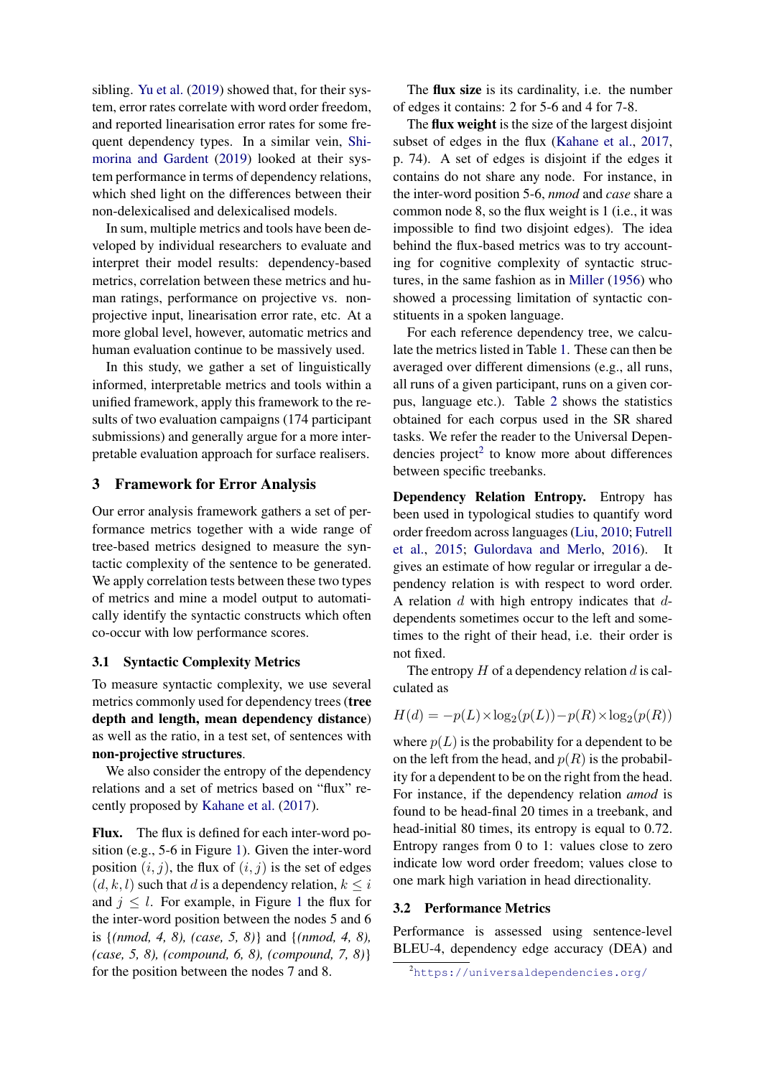sibling. [Yu et al.](#page-16-4) [\(2019\)](#page-16-4) showed that, for their system, error rates correlate with word order freedom, and reported linearisation error rates for some frequent dependency types. In a similar vein, [Shi](#page-15-8)[morina and Gardent](#page-15-8) [\(2019\)](#page-15-8) looked at their system performance in terms of dependency relations, which shed light on the differences between their non-delexicalised and delexicalised models.

In sum, multiple metrics and tools have been developed by individual researchers to evaluate and interpret their model results: dependency-based metrics, correlation between these metrics and human ratings, performance on projective vs. nonprojective input, linearisation error rate, etc. At a more global level, however, automatic metrics and human evaluation continue to be massively used.

In this study, we gather a set of linguistically informed, interpretable metrics and tools within a unified framework, apply this framework to the results of two evaluation campaigns (174 participant submissions) and generally argue for a more interpretable evaluation approach for surface realisers.

### <span id="page-2-1"></span>3 Framework for Error Analysis

Our error analysis framework gathers a set of performance metrics together with a wide range of tree-based metrics designed to measure the syntactic complexity of the sentence to be generated. We apply correlation tests between these two types of metrics and mine a model output to automatically identify the syntactic constructs which often co-occur with low performance scores.

#### 3.1 Syntactic Complexity Metrics

To measure syntactic complexity, we use several metrics commonly used for dependency trees (tree depth and length, mean dependency distance) as well as the ratio, in a test set, of sentences with non-projective structures.

We also consider the entropy of the dependency relations and a set of metrics based on "flux" recently proposed by [Kahane et al.](#page-13-3) [\(2017\)](#page-13-3).

Flux. The flux is defined for each inter-word position (e.g., 5-6 in Figure [1\)](#page-3-0). Given the inter-word position  $(i, j)$ , the flux of  $(i, j)$  is the set of edges  $(d, k, l)$  such that d is a dependency relation,  $k \leq i$ and  $j \leq l$ . For example, in Figure [1](#page-3-0) the flux for the inter-word position between the nodes 5 and 6 is {*(nmod, 4, 8), (case, 5, 8)*} and {*(nmod, 4, 8), (case, 5, 8), (compound, 6, 8), (compound, 7, 8)*} for the position between the nodes 7 and 8.

The flux size is its cardinality, i.e. the number of edges it contains: 2 for 5-6 and 4 for 7-8.

The flux weight is the size of the largest disjoint subset of edges in the flux [\(Kahane et al.,](#page-13-3) [2017,](#page-13-3) p. 74). A set of edges is disjoint if the edges it contains do not share any node. For instance, in the inter-word position 5-6, *nmod* and *case* share a common node 8, so the flux weight is 1 (i.e., it was impossible to find two disjoint edges). The idea behind the flux-based metrics was to try accounting for cognitive complexity of syntactic structures, in the same fashion as in [Miller](#page-14-5) [\(1956\)](#page-14-5) who showed a processing limitation of syntactic constituents in a spoken language.

For each reference dependency tree, we calculate the metrics listed in Table [1.](#page-3-1) These can then be averaged over different dimensions (e.g., all runs, all runs of a given participant, runs on a given corpus, language etc.). Table [2](#page-5-0) shows the statistics obtained for each corpus used in the SR shared tasks. We refer the reader to the Universal Depen-dencies project<sup>[2](#page-2-0)</sup> to know more about differences between specific treebanks.

Dependency Relation Entropy. Entropy has been used in typological studies to quantify word order freedom across languages [\(Liu,](#page-13-11) [2010;](#page-13-11) [Futrell](#page-12-5) [et al.,](#page-12-5) [2015;](#page-12-5) [Gulordava and Merlo,](#page-13-12) [2016\)](#page-13-12). It gives an estimate of how regular or irregular a dependency relation is with respect to word order. A relation  $d$  with high entropy indicates that  $d$ dependents sometimes occur to the left and sometimes to the right of their head, i.e. their order is not fixed.

The entropy  $H$  of a dependency relation  $d$  is calculated as

$$
H(d) = -p(L) \times \log_2(p(L)) - p(R) \times \log_2(p(R))
$$

where  $p(L)$  is the probability for a dependent to be on the left from the head, and  $p(R)$  is the probability for a dependent to be on the right from the head. For instance, if the dependency relation *amod* is found to be head-final 20 times in a treebank, and head-initial 80 times, its entropy is equal to 0.72. Entropy ranges from 0 to 1: values close to zero indicate low word order freedom; values close to one mark high variation in head directionality.

### 3.2 Performance Metrics

Performance is assessed using sentence-level BLEU-4, dependency edge accuracy (DEA) and

<span id="page-2-0"></span><sup>2</sup><https://universaldependencies.org/>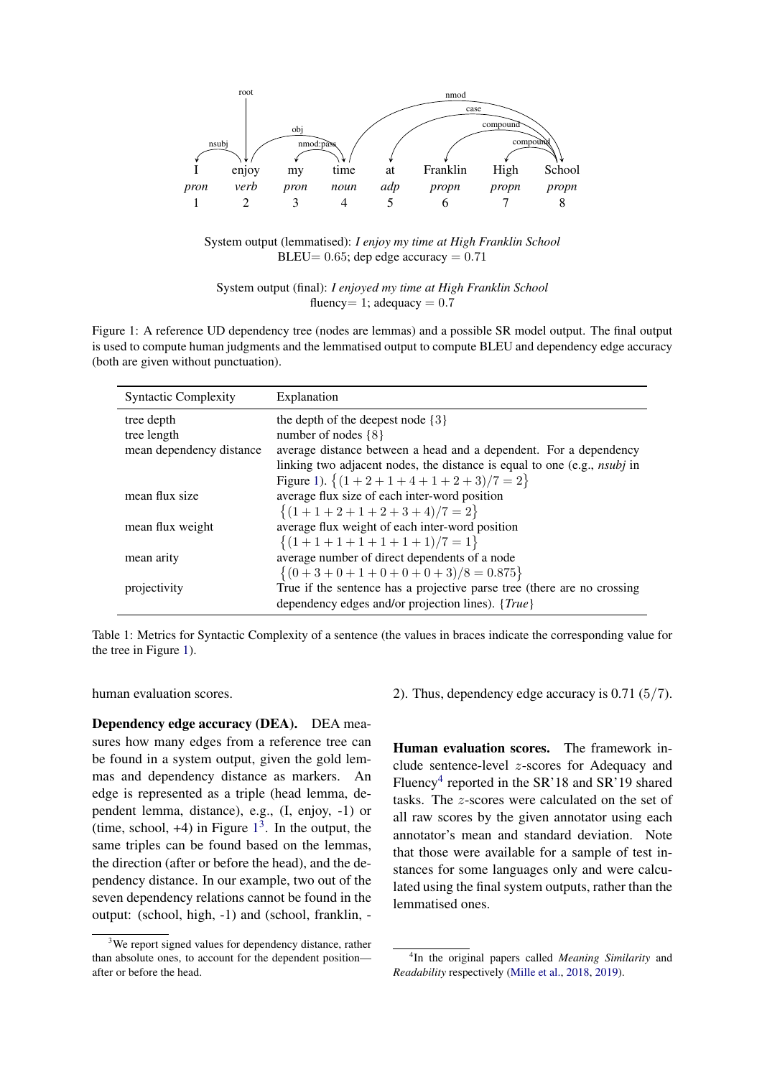<span id="page-3-0"></span>

System output (lemmatised): *I enjoy my time at High Franklin School* BLEU=  $0.65$ ; dep edge accuracy =  $0.71$ 

System output (final): *I enjoyed my time at High Franklin School* fluency  $= 1$ ; adequacy  $= 0.7$ 

Figure 1: A reference UD dependency tree (nodes are lemmas) and a possible SR model output. The final output is used to compute human judgments and the lemmatised output to compute BLEU and dependency edge accuracy (both are given without punctuation).

<span id="page-3-1"></span>

| <b>Syntactic Complexity</b> | Explanation                                                                     |
|-----------------------------|---------------------------------------------------------------------------------|
| tree depth                  | the depth of the deepest node $\{3\}$                                           |
| tree length                 | number of nodes $\{8\}$                                                         |
| mean dependency distance    | average distance between a head and a dependent. For a dependency               |
|                             | linking two adjacent nodes, the distance is equal to one (e.g., <i>nsubj</i> in |
|                             | Figure 1). $\{(1+2+1+4+1+2+3)/7=2\}$                                            |
| mean flux size              | average flux size of each inter-word position                                   |
|                             | $\{(1+1+2+1+2+3+4)/7=2\}$                                                       |
| mean flux weight            | average flux weight of each inter-word position                                 |
|                             | $\{(1+1+1+1+1+1+1)/7=1\}$                                                       |
| mean arity                  | average number of direct dependents of a node                                   |
|                             | $\{(0+3+0+1+0+0+0+3)/8=0.875\}$                                                 |
| projectivity                | True if the sentence has a projective parse tree (there are no crossing         |
|                             | dependency edges and/or projection lines). {True}                               |

Table 1: Metrics for Syntactic Complexity of a sentence (the values in braces indicate the corresponding value for the tree in Figure [1\)](#page-3-0).

human evaluation scores.

Dependency edge accuracy (DEA). DEA measures how many edges from a reference tree can be found in a system output, given the gold lemmas and dependency distance as markers. An edge is represented as a triple (head lemma, dependent lemma, distance), e.g., (I, enjoy, -1) or (time, school,  $+4$ ) in Figure  $1<sup>3</sup>$  $1<sup>3</sup>$  $1<sup>3</sup>$  $1<sup>3</sup>$ . In the output, the same triples can be found based on the lemmas, the direction (after or before the head), and the dependency distance. In our example, two out of the seven dependency relations cannot be found in the output: (school, high, -1) and (school, franklin, -

2). Thus, dependency edge accuracy is 0.71 (5/7).

Human evaluation scores. The framework include sentence-level z-scores for Adequacy and Fluency<sup>[4](#page-3-3)</sup> reported in the SR'18 and SR'19 shared tasks. The z-scores were calculated on the set of all raw scores by the given annotator using each annotator's mean and standard deviation. Note that those were available for a sample of test instances for some languages only and were calculated using the final system outputs, rather than the lemmatised ones.

<span id="page-3-2"></span><sup>&</sup>lt;sup>3</sup>We report signed values for dependency distance, rather than absolute ones, to account for the dependent position after or before the head.

<span id="page-3-3"></span><sup>4</sup> In the original papers called *Meaning Similarity* and *Readability* respectively [\(Mille et al.,](#page-14-1) [2018,](#page-14-1) [2019\)](#page-14-2).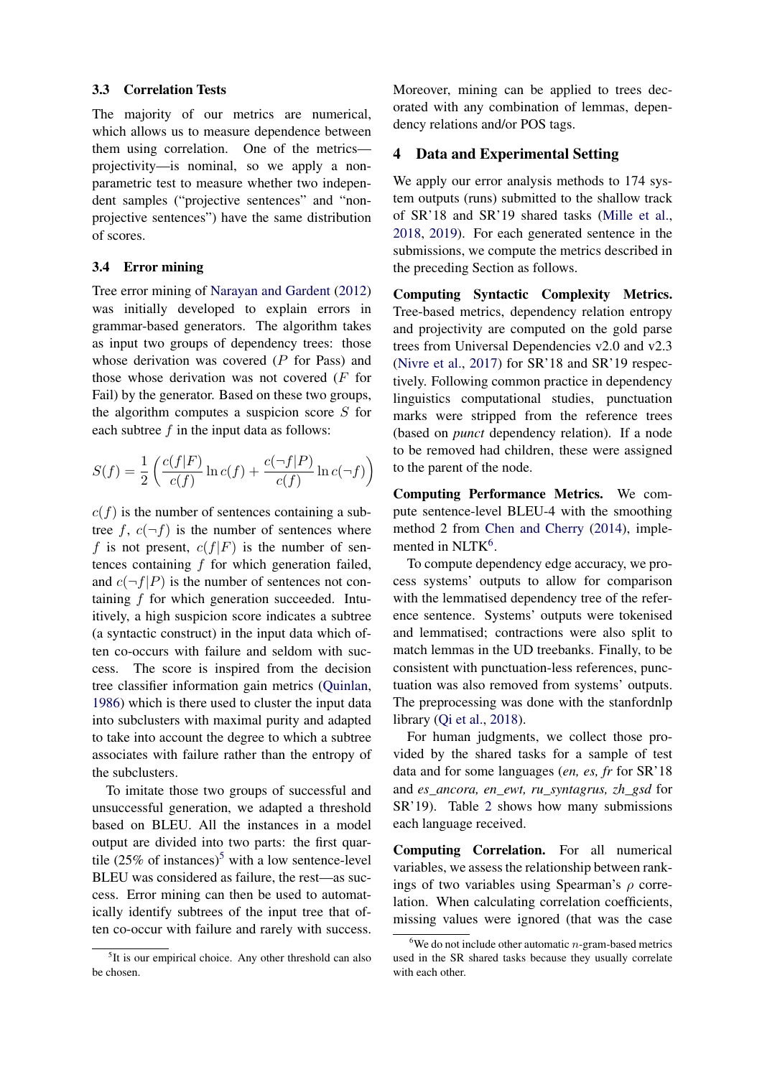#### 3.3 Correlation Tests

The majority of our metrics are numerical, which allows us to measure dependence between them using correlation. One of the metrics projectivity—is nominal, so we apply a nonparametric test to measure whether two independent samples ("projective sentences" and "nonprojective sentences") have the same distribution of scores.

### 3.4 Error mining

Tree error mining of [Narayan and Gardent](#page-14-4) [\(2012\)](#page-14-4) was initially developed to explain errors in grammar-based generators. The algorithm takes as input two groups of dependency trees: those whose derivation was covered  $(P$  for Pass) and those whose derivation was not covered (F for Fail) by the generator. Based on these two groups, the algorithm computes a suspicion score S for each subtree  $f$  in the input data as follows:

$$
S(f) = \frac{1}{2} \left( \frac{c(f|F)}{c(f)} \ln c(f) + \frac{c(\neg f|P)}{c(f)} \ln c(\neg f) \right)
$$

 $c(f)$  is the number of sentences containing a subtree f,  $c(\neg f)$  is the number of sentences where f is not present,  $c(f|F)$  is the number of sentences containing  $f$  for which generation failed, and  $c(\neg f|P)$  is the number of sentences not containing f for which generation succeeded. Intuitively, a high suspicion score indicates a subtree (a syntactic construct) in the input data which often co-occurs with failure and seldom with success. The score is inspired from the decision tree classifier information gain metrics [\(Quinlan,](#page-15-9) [1986\)](#page-15-9) which is there used to cluster the input data into subclusters with maximal purity and adapted to take into account the degree to which a subtree associates with failure rather than the entropy of the subclusters.

To imitate those two groups of successful and unsuccessful generation, we adapted a threshold based on BLEU. All the instances in a model output are divided into two parts: the first quartile  $(25\% \text{ of instances})^5$  $(25\% \text{ of instances})^5$  $(25\% \text{ of instances})^5$  with a low sentence-level BLEU was considered as failure, the rest—as success. Error mining can then be used to automatically identify subtrees of the input tree that often co-occur with failure and rarely with success. Moreover, mining can be applied to trees decorated with any combination of lemmas, dependency relations and/or POS tags.

### <span id="page-4-2"></span>4 Data and Experimental Setting

We apply our error analysis methods to 174 system outputs (runs) submitted to the shallow track of SR'18 and SR'19 shared tasks [\(Mille et al.,](#page-14-1) [2018,](#page-14-1) [2019\)](#page-14-2). For each generated sentence in the submissions, we compute the metrics described in the preceding Section as follows.

Computing Syntactic Complexity Metrics. Tree-based metrics, dependency relation entropy and projectivity are computed on the gold parse trees from Universal Dependencies v2.0 and v2.3 [\(Nivre et al.,](#page-14-6) [2017\)](#page-14-6) for SR'18 and SR'19 respectively. Following common practice in dependency linguistics computational studies, punctuation marks were stripped from the reference trees (based on *punct* dependency relation). If a node to be removed had children, these were assigned to the parent of the node.

Computing Performance Metrics. We compute sentence-level BLEU-4 with the smoothing method 2 from [Chen and Cherry](#page-12-10) [\(2014\)](#page-12-10), imple-mented in NLTK<sup>[6](#page-4-1)</sup>.

To compute dependency edge accuracy, we process systems' outputs to allow for comparison with the lemmatised dependency tree of the reference sentence. Systems' outputs were tokenised and lemmatised; contractions were also split to match lemmas in the UD treebanks. Finally, to be consistent with punctuation-less references, punctuation was also removed from systems' outputs. The preprocessing was done with the stanfordnlp library [\(Qi et al.,](#page-15-10) [2018\)](#page-15-10).

For human judgments, we collect those provided by the shared tasks for a sample of test data and for some languages (*en, es, fr* for SR'18 and *es\_ancora, en\_ewt, ru\_syntagrus, zh\_gsd* for SR'19). Table [2](#page-5-0) shows how many submissions each language received.

Computing Correlation. For all numerical variables, we assess the relationship between rankings of two variables using Spearman's  $\rho$  correlation. When calculating correlation coefficients, missing values were ignored (that was the case

<span id="page-4-0"></span><sup>&</sup>lt;sup>5</sup>It is our empirical choice. Any other threshold can also be chosen.

<span id="page-4-1"></span> $6$ We do not include other automatic *n*-gram-based metrics used in the SR shared tasks because they usually correlate with each other.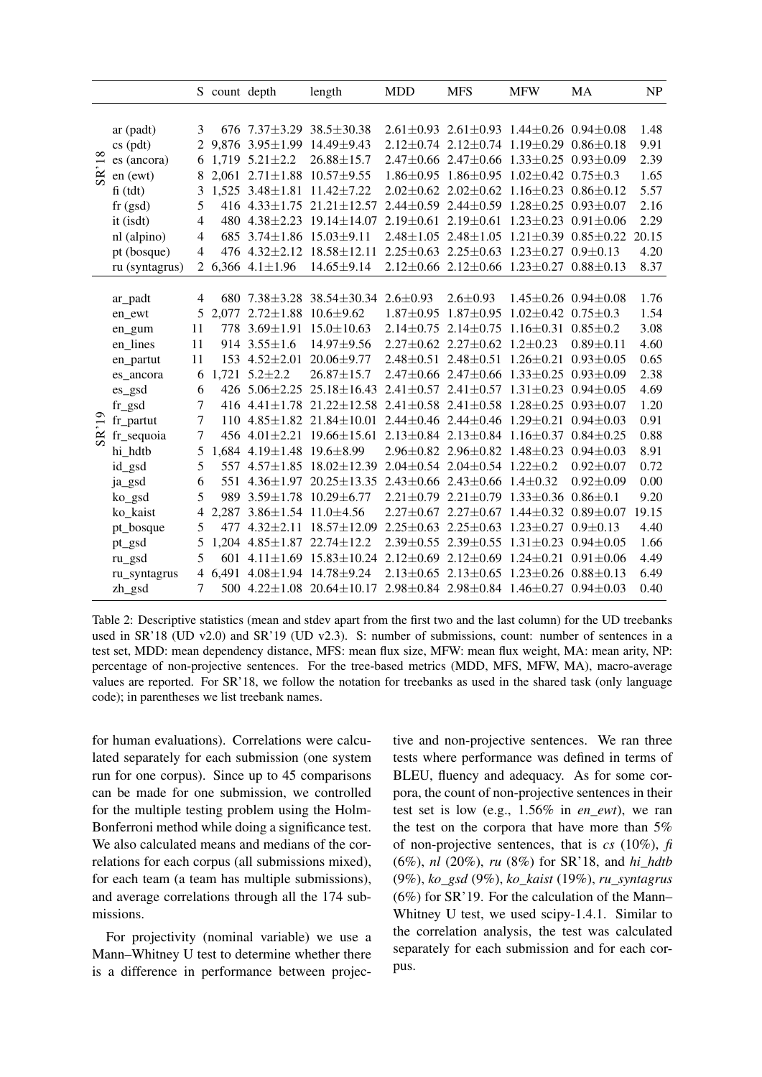<span id="page-5-0"></span>

|                |                |                | S count depth |                                       | length                                                                                | <b>MDD</b> | <b>MFS</b>                                                      | <b>MFW</b> | MA                              | NP    |
|----------------|----------------|----------------|---------------|---------------------------------------|---------------------------------------------------------------------------------------|------------|-----------------------------------------------------------------|------------|---------------------------------|-------|
|                |                |                |               |                                       |                                                                                       |            |                                                                 |            |                                 |       |
|                | ar (padt)      | 3              |               |                                       | 676 7.37 $\pm$ 3.29 38.5 $\pm$ 30.38                                                  |            | $2.61 \pm 0.93$ $2.61 \pm 0.93$ $1.44 \pm 0.26$ $0.94 \pm 0.08$ |            |                                 | 1.48  |
|                | $cs$ (pdt)     | 2              |               |                                       | 9,876 3.95±1.99 14.49±9.43                                                            |            | $2.12\pm0.74$ $2.12\pm0.74$ $1.19\pm0.29$ $0.86\pm0.18$         |            |                                 | 9.91  |
| $\frac{8}{18}$ | es (ancora)    |                |               | 6 1,719 $5.21 \pm 2.2$                | $26.88 \pm 15.7$                                                                      |            | $2.47 \pm 0.66$ 2.47 $\pm 0.66$ 1.33 $\pm 0.25$ 0.93 $\pm 0.09$ |            |                                 | 2.39  |
| SR             | en (ewt)       |                |               |                                       | 2,061 2.71 $\pm$ 1.88 10.57 $\pm$ 9.55                                                |            | $1.86 \pm 0.95$ $1.86 \pm 0.95$ $1.02 \pm 0.42$ $0.75 \pm 0.3$  |            |                                 | 1.65  |
|                | $fi$ (tdt)     | 3              |               |                                       | $1,525$ $3.48 \pm 1.81$ $11.42 \pm 7.22$                                              |            | $2.02 \pm 0.62$ $2.02 \pm 0.62$ $1.16 \pm 0.23$ $0.86 \pm 0.12$ |            |                                 | 5.57  |
|                | $fr$ (gsd)     | 5              |               |                                       | 416 4.33±1.75 21.21±12.57                                                             |            | $2.44\pm0.59$ $2.44\pm0.59$ $1.28\pm0.25$ $0.93\pm0.07$         |            |                                 | 2.16  |
|                | it (isdt)      | $\overline{4}$ |               | 480 4.38 ± 2.23                       | $19.14 \pm 14.07$                                                                     |            | $2.19\pm0.61$ $2.19\pm0.61$ $1.23\pm0.23$ $0.91\pm0.06$         |            |                                 | 2.29  |
|                | nl (alpino)    | 4              |               |                                       | 685 3.74±1.86 15.03±9.11                                                              |            | $2.48 \pm 1.05$ $2.48 \pm 1.05$ $1.21 \pm 0.39$ $0.85 \pm 0.22$ |            |                                 | 20.15 |
|                | pt (bosque)    | $\overline{4}$ |               |                                       | 476 4.32±2.12 18.58±12.11                                                             |            | $2.25 \pm 0.63$ $2.25 \pm 0.63$ $1.23 \pm 0.27$ $0.9 \pm 0.13$  |            |                                 | 4.20  |
|                | ru (syntagrus) |                |               | 2 6,366 $4.1 \pm 1.96$                | $14.65 \pm 9.14$                                                                      |            | $2.12 \pm 0.66$ 2.12 $\pm 0.66$ 1.23 $\pm 0.27$ 0.88 $\pm 0.13$ |            |                                 | 8.37  |
|                |                |                |               |                                       |                                                                                       |            |                                                                 |            |                                 |       |
|                | ar_padt        | 4              |               |                                       | 680 7.38 $\pm$ 3.28 38.54 $\pm$ 30.34 2.6 $\pm$ 0.93                                  |            | $2.6 \pm 0.93$                                                  |            | $1.45 \pm 0.26$ 0.94 $\pm$ 0.08 | 1.76  |
|                | en_ewt         | 5              | 2,077         |                                       | $2.72 \pm 1.88$ 10.6 $\pm$ 9.62                                                       |            | $1.87 \pm 0.95$ $1.87 \pm 0.95$ $1.02 \pm 0.42$ $0.75 \pm 0.3$  |            |                                 | 1.54  |
|                | en_gum         | 11             |               |                                       | 778 3.69±1.91 15.0±10.63                                                              |            | $2.14\pm0.75$ $2.14\pm0.75$ $1.16\pm0.31$ $0.85\pm0.2$          |            |                                 | 3.08  |
|                | en_lines       | 11             |               | 914 $3.55 \pm 1.6$                    | 14.97±9.56                                                                            |            | $2.27 \pm 0.62$ $2.27 \pm 0.62$ $1.2 \pm 0.23$                  |            | $0.89 + 0.11$                   | 4.60  |
|                | en_partut      | 11             |               | 153 $4.52 \pm 2.01$                   | $20.06 \pm 9.77$                                                                      |            | $2.48 \pm 0.51$ $2.48 \pm 0.51$ $1.26 \pm 0.21$                 |            | $0.93 \pm 0.05$                 | 0.65  |
|                | es_ancora      | 6              |               | $1,721$ 5.2 $\pm$ 2.2                 | $26.87 \pm 15.7$                                                                      |            | $2.47\pm0.66$ $2.47\pm0.66$ $1.33\pm0.25$ $0.93\pm0.09$         |            |                                 | 2.38  |
|                | es_gsd         | 6              |               | 426 $5.06 \pm 2.25$                   | $25.18 \pm 16.43$                                                                     |            | $2.41 \pm 0.57$ $2.41 \pm 0.57$ $1.31 \pm 0.23$ $0.94 \pm 0.05$ |            |                                 | 4.69  |
|                | fr_gsd         | $\overline{7}$ |               |                                       | 416 4.41 $\pm$ 1.78 21.22 $\pm$ 12.58                                                 |            | $2.41 \pm 0.58$ $2.41 \pm 0.58$ $1.28 \pm 0.25$ $0.93 \pm 0.07$ |            |                                 | 1.20  |
| $\ddot{ }$     | fr_partut      | $\tau$         |               |                                       | $110$ 4.85 $\pm$ 1.82 21.84 $\pm$ 10.01                                               |            | $2.44 + 0.46$ $2.44 + 0.46$ $1.29 + 0.21$ $0.94 + 0.03$         |            |                                 | 0.91  |
| $S_{R}$        | fr_sequoia     | 7              |               |                                       | 456 4.01 $\pm$ 2.21 19.66 $\pm$ 15.61                                                 |            | $2.13 \pm 0.84$ $2.13 \pm 0.84$ $1.16 \pm 0.37$                 |            | $0.84 \pm 0.25$                 | 0.88  |
|                | hi_hdtb        | 5              |               | 1,684 4.19 $\pm$ 1.48 19.6 $\pm$ 8.99 |                                                                                       |            | 2.96±0.82 2.96±0.82 1.48±0.23 0.94±0.03                         |            |                                 | 8.91  |
|                | id_gsd         | 5              |               |                                       | 557 4.57±1.85 18.02±12.39 2.04±0.54 2.04±0.54 1.22±0.2                                |            |                                                                 |            | $0.92 \pm 0.07$                 | 0.72  |
|                | ja_gsd         | 6              |               |                                       | 551 4.36 $\pm$ 1.97 20.25 $\pm$ 13.35 2.43 $\pm$ 0.66 2.43 $\pm$ 0.66 1.4 $\pm$ 0.32  |            |                                                                 |            | $0.92 + 0.09$                   | 0.00  |
|                | ko_gsd         | 5              | 989           |                                       | $3.59 \pm 1.78$ $10.29 \pm 6.77$                                                      |            | $2.21 \pm 0.79$ $2.21 \pm 0.79$ $1.33 \pm 0.36$                 |            | $0.86 \pm 0.1$                  | 9.20  |
|                | ko_kaist       | 4              | 2.287         | $3.86 \pm 1.54$ 11.0 $\pm 4.56$       |                                                                                       |            | $2.27 \pm 0.67$ $2.27 \pm 0.67$ $1.44 \pm 0.32$ $0.89 \pm 0.07$ |            |                                 | 19.15 |
|                | pt_bosque      | 5              | 477           | $4.32 \pm 2.11$                       | $18.57 \pm 12.09$                                                                     |            | $2.25 \pm 0.63$ $2.25 \pm 0.63$ $1.23 \pm 0.27$ $0.9 \pm 0.13$  |            |                                 | 4.40  |
|                | pt_gsd         | 5              |               |                                       | $1,204$ $4.85 \pm 1.87$ $22.74 \pm 12.2$                                              |            | $2.39\pm0.55$ $2.39\pm0.55$ $1.31\pm0.23$ $0.94\pm0.05$         |            |                                 | 1.66  |
|                | ru_gsd         | 5              | 601           |                                       | $4.11\pm1.69$ $15.83\pm10.24$ $2.12\pm0.69$ $2.12\pm0.69$ $1.24\pm0.21$ $0.91\pm0.06$ |            |                                                                 |            |                                 | 4.49  |
|                | ru_syntagrus   |                | 4 6,491       |                                       | $4.08 \pm 1.94$ 14.78 $\pm 9.24$                                                      |            | $2.13\pm0.65$ $2.13\pm0.65$ $1.23\pm0.26$ $0.88\pm0.13$         |            |                                 | 6.49  |
|                | zh_gsd         | $\tau$         |               |                                       | 500 $4.22 \pm 1.08$ 20.64 $\pm 10.17$                                                 |            | $2.98 \pm 0.84$ $2.98 \pm 0.84$ $1.46 \pm 0.27$ $0.94 \pm 0.03$ |            |                                 | 0.40  |

Table 2: Descriptive statistics (mean and stdev apart from the first two and the last column) for the UD treebanks used in SR'18 (UD v2.0) and SR'19 (UD v2.3). S: number of submissions, count: number of sentences in a test set, MDD: mean dependency distance, MFS: mean flux size, MFW: mean flux weight, MA: mean arity, NP: percentage of non-projective sentences. For the tree-based metrics (MDD, MFS, MFW, MA), macro-average values are reported. For SR'18, we follow the notation for treebanks as used in the shared task (only language code); in parentheses we list treebank names.

for human evaluations). Correlations were calculated separately for each submission (one system run for one corpus). Since up to 45 comparisons can be made for one submission, we controlled for the multiple testing problem using the Holm-Bonferroni method while doing a significance test. We also calculated means and medians of the correlations for each corpus (all submissions mixed), for each team (a team has multiple submissions), and average correlations through all the 174 submissions.

For projectivity (nominal variable) we use a Mann–Whitney U test to determine whether there is a difference in performance between projective and non-projective sentences. We ran three tests where performance was defined in terms of BLEU, fluency and adequacy. As for some corpora, the count of non-projective sentences in their test set is low (e.g., 1.56% in *en\_ewt*), we ran the test on the corpora that have more than 5% of non-projective sentences, that is *cs* (10%), *fi* (6%), *nl* (20%), *ru* (8%) for SR'18, and *hi\_hdtb* (9%), *ko\_gsd* (9%), *ko\_kaist* (19%), *ru\_syntagrus* (6%) for SR'19. For the calculation of the Mann– Whitney U test, we used scipy-1.4.1. Similar to the correlation analysis, the test was calculated separately for each submission and for each corpus.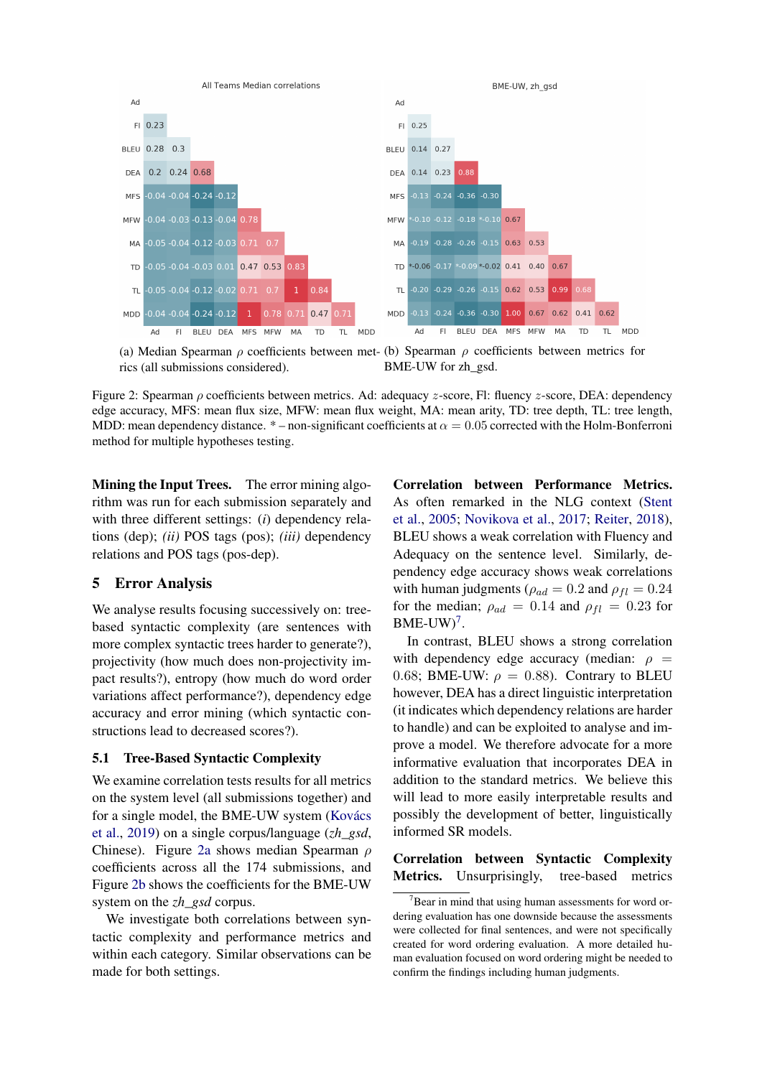<span id="page-6-0"></span>

(a) Median Spearman  $\rho$  coefficients between met- (b) Spearman  $\rho$  coefficients between metrics for rics (all submissions considered). BME-UW for zh\_gsd.

Figure 2: Spearman ρ coefficients between metrics. Ad: adequacy z-score, Fl: fluency z-score, DEA: dependency edge accuracy, MFS: mean flux size, MFW: mean flux weight, MA: mean arity, TD: tree depth, TL: tree length, MDD: mean dependency distance. \* – non-significant coefficients at  $\alpha = 0.05$  corrected with the Holm-Bonferroni method for multiple hypotheses testing.

Mining the Input Trees. The error mining algorithm was run for each submission separately and with three different settings: (*i*) dependency relations (dep); *(ii)* POS tags (pos); *(iii)* dependency relations and POS tags (pos-dep).

## 5 Error Analysis

We analyse results focusing successively on: treebased syntactic complexity (are sentences with more complex syntactic trees harder to generate?), projectivity (how much does non-projectivity impact results?), entropy (how much do word order variations affect performance?), dependency edge accuracy and error mining (which syntactic constructions lead to decreased scores?).

### 5.1 Tree-Based Syntactic Complexity

We examine correlation tests results for all metrics on the system level (all submissions together) and for a single model, the BME-UW system [\(Kovács](#page-13-13) [et al.,](#page-13-13) [2019\)](#page-13-13) on a single corpus/language (*zh\_gsd*, Chinese). Figure [2a](#page-6-0) shows median Spearman ρ coefficients across all the 174 submissions, and Figure [2b](#page-6-0) shows the coefficients for the BME-UW system on the *zh\_gsd* corpus.

We investigate both correlations between syntactic complexity and performance metrics and within each category. Similar observations can be made for both settings.

Correlation between Performance Metrics. As often remarked in the NLG context [\(Stent](#page-15-11) [et al.,](#page-15-11) [2005;](#page-15-11) [Novikova et al.,](#page-15-12) [2017;](#page-15-12) [Reiter,](#page-15-13) [2018\)](#page-15-13), BLEU shows a weak correlation with Fluency and Adequacy on the sentence level. Similarly, dependency edge accuracy shows weak correlations with human judgments ( $\rho_{ad} = 0.2$  and  $\rho_{fl} = 0.24$ for the median;  $\rho_{ad} = 0.14$  and  $\rho_{fl} = 0.23$  for  $BME-UW$ <sup>[7](#page-6-1)</sup>.

In contrast, BLEU shows a strong correlation with dependency edge accuracy (median:  $\rho =$ 0.68; BME-UW:  $\rho = 0.88$ ). Contrary to BLEU however, DEA has a direct linguistic interpretation (it indicates which dependency relations are harder to handle) and can be exploited to analyse and improve a model. We therefore advocate for a more informative evaluation that incorporates DEA in addition to the standard metrics. We believe this will lead to more easily interpretable results and possibly the development of better, linguistically informed SR models.

# Correlation between Syntactic Complexity Metrics. Unsurprisingly, tree-based metrics

<span id="page-6-1"></span> $7$ Bear in mind that using human assessments for word ordering evaluation has one downside because the assessments were collected for final sentences, and were not specifically created for word ordering evaluation. A more detailed human evaluation focused on word ordering might be needed to confirm the findings including human judgments.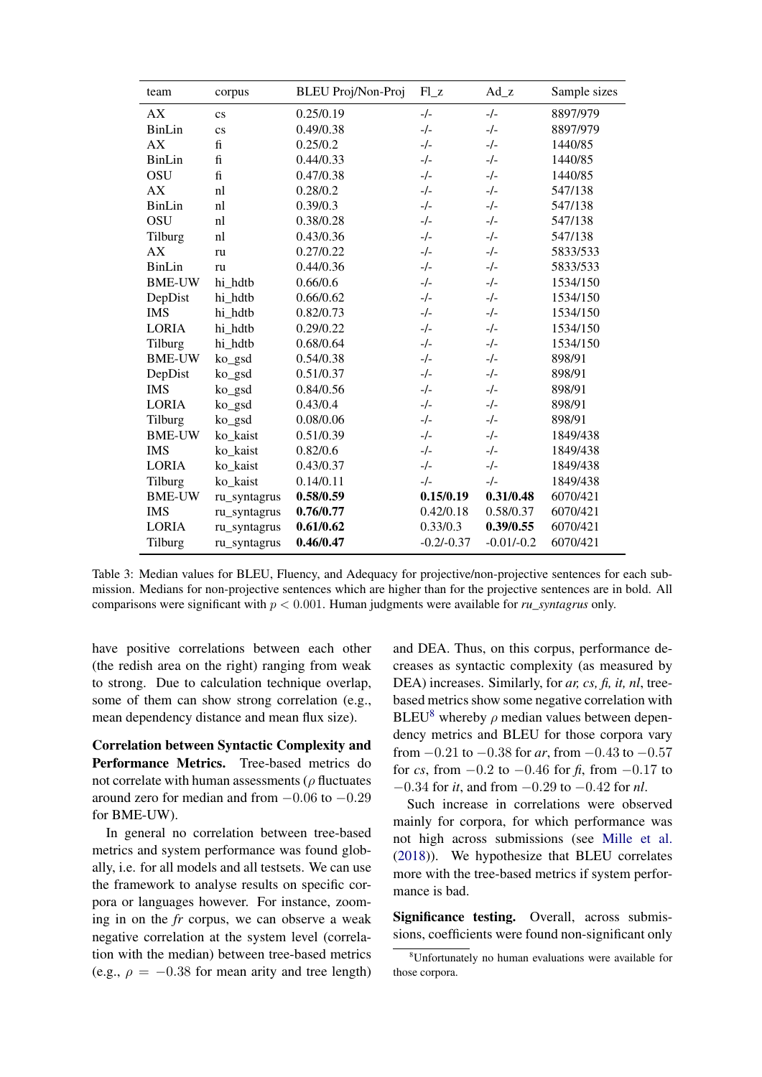<span id="page-7-1"></span>

| team          | corpus                 | <b>BLEU Proj/Non-Proj</b> | $F1_z$       | $Ad_z$       | Sample sizes |
|---------------|------------------------|---------------------------|--------------|--------------|--------------|
| AX            | $\mathbf{c}\mathbf{s}$ | 0.25/0.19                 | $-/-$        | $-/-$        | 8897/979     |
| BinLin        | $\mathbf{c}\mathbf{s}$ | 0.49/0.38                 | $-/-$        | $-/-$        | 8897/979     |
| AX            | $f_1$                  | 0.25/0.2                  | $-/-$        | $-/-$        | 1440/85      |
| <b>BinLin</b> | $\mathbf{f}$           | 0.44/0.33                 | $-/-$        | $-/-$        | 1440/85      |
| OSU           | $\mathbf f$            | 0.47/0.38                 | $-/-$        | $-/-$        | 1440/85      |
| AX            | nl                     | 0.28/0.2                  | $-/-$        | $-/-$        | 547/138      |
| BinLin        | nl                     | 0.39/0.3                  | $-/-$        | $-/-$        | 547/138      |
| <b>OSU</b>    | nl                     | 0.38/0.28                 | $-/-$        | $-/-$        | 547/138      |
| Tilburg       | nl                     | 0.43/0.36                 | $-/-$        | $-/-$        | 547/138      |
| AX            | ru                     | 0.27/0.22                 | $-/-$        | $-/-$        | 5833/533     |
| BinLin        | ru                     | 0.44/0.36                 | $-/-$        | $-/-$        | 5833/533     |
| <b>BME-UW</b> | hi hdtb                | 0.66/0.6                  | $-/-$        | $-/-$        | 1534/150     |
| DepDist       | hi hdtb                | 0.66/0.62                 | $-/-$        | $-/-$        | 1534/150     |
| <b>IMS</b>    | hi hdtb                | 0.82/0.73                 | $-/-$        | $-/-$        | 1534/150     |
| <b>LORIA</b>  | hi hdtb                | 0.29/0.22                 | $-/-$        | $-/-$        | 1534/150     |
| Tilburg       | hi hdtb                | 0.68/0.64                 | $-/-$        | $-/-$        | 1534/150     |
| <b>BME-UW</b> | ko_gsd                 | 0.54/0.38                 | $-/-$        | $-/-$        | 898/91       |
| DepDist       | ko_gsd                 | 0.51/0.37                 | $-/-$        | $-/-$        | 898/91       |
| <b>IMS</b>    | ko_gsd                 | 0.84/0.56                 | $-/-$        | $-/-$        | 898/91       |
| <b>LORIA</b>  | ko_gsd                 | 0.43/0.4                  | $-/-$        | $-/-$        | 898/91       |
| Tilburg       | ko_gsd                 | 0.08/0.06                 | $-/-$        | $-/-$        | 898/91       |
| <b>BME-UW</b> | ko kaist               | 0.51/0.39                 | $-/-$        | $-/-$        | 1849/438     |
| <b>IMS</b>    | ko kaist               | 0.82/0.6                  | $-/-$        | $-/-$        | 1849/438     |
| <b>LORIA</b>  | ko_kaist               | 0.43/0.37                 | $-/-$        | $-/-$        | 1849/438     |
| Tilburg       | ko kaist               | 0.14/0.11                 | $-/-$        | $-/-$        | 1849/438     |
| <b>BME-UW</b> | ru_syntagrus           | 0.58/0.59                 | 0.15/0.19    | 0.31/0.48    | 6070/421     |
| <b>IMS</b>    | ru_syntagrus           | 0.76/0.77                 | 0.42/0.18    | 0.58/0.37    | 6070/421     |
| <b>LORIA</b>  | ru_syntagrus           | 0.61/0.62                 | 0.33/0.3     | 0.39/0.55    | 6070/421     |
| Tilburg       | ru_syntagrus           | 0.46/0.47                 | $-0.2/-0.37$ | $-0.01/-0.2$ | 6070/421     |

Table 3: Median values for BLEU, Fluency, and Adequacy for projective/non-projective sentences for each submission. Medians for non-projective sentences which are higher than for the projective sentences are in bold. All comparisons were significant with p < 0.001. Human judgments were available for *ru\_syntagrus* only.

have positive correlations between each other (the redish area on the right) ranging from weak to strong. Due to calculation technique overlap, some of them can show strong correlation (e.g., mean dependency distance and mean flux size).

Correlation between Syntactic Complexity and Performance Metrics. Tree-based metrics do not correlate with human assessments ( $\rho$  fluctuates around zero for median and from  $-0.06$  to  $-0.29$ for BME-UW).

In general no correlation between tree-based metrics and system performance was found globally, i.e. for all models and all testsets. We can use the framework to analyse results on specific corpora or languages however. For instance, zooming in on the *fr* corpus, we can observe a weak negative correlation at the system level (correlation with the median) between tree-based metrics (e.g.,  $\rho = -0.38$  for mean arity and tree length)

and DEA. Thus, on this corpus, performance decreases as syntactic complexity (as measured by DEA) increases. Similarly, for *ar, cs, fi, it, nl*, treebased metrics show some negative correlation with BLEU<sup>[8](#page-7-0)</sup> whereby  $\rho$  median values between dependency metrics and BLEU for those corpora vary from −0.21 to −0.38 for *ar*, from −0.43 to −0.57 for *cs*, from  $-0.2$  to  $-0.46$  for *, from*  $-0.17$  *to* −0.34 for *it*, and from −0.29 to −0.42 for *nl*.

Such increase in correlations were observed mainly for corpora, for which performance was not high across submissions (see [Mille et al.](#page-14-1) [\(2018\)](#page-14-1)). We hypothesize that BLEU correlates more with the tree-based metrics if system performance is bad.

Significance testing. Overall, across submissions, coefficients were found non-significant only

<span id="page-7-0"></span><sup>8</sup>Unfortunately no human evaluations were available for those corpora.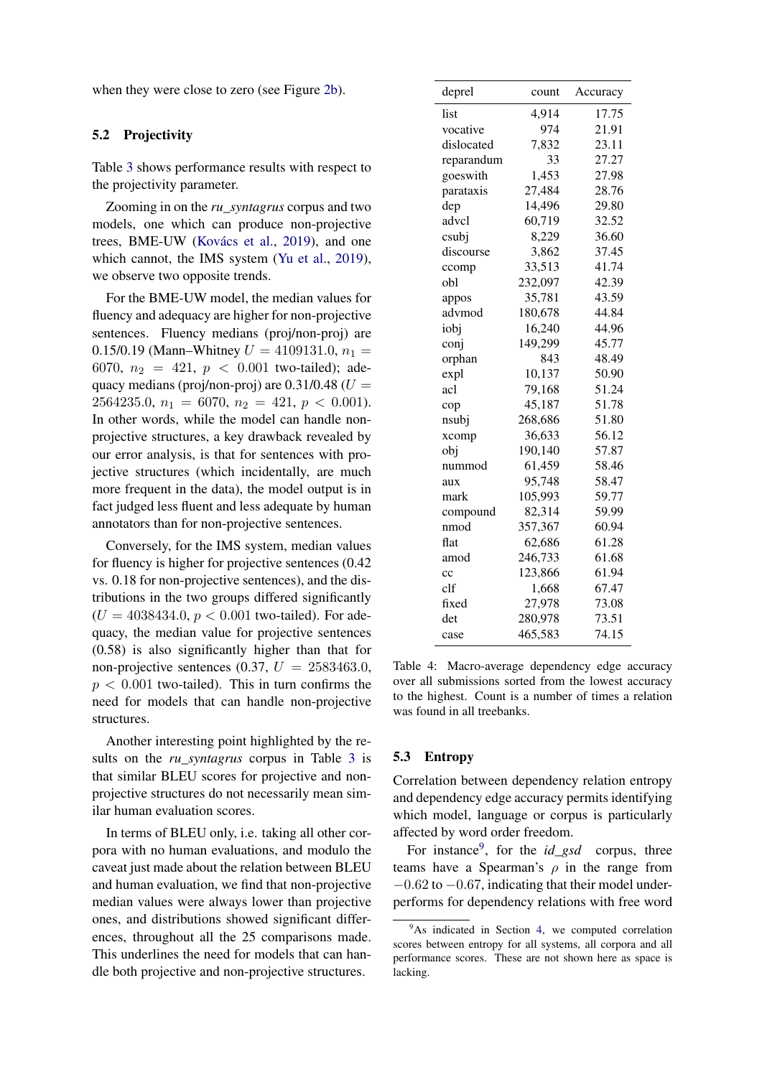when they were close to zero (see Figure [2b\)](#page-6-0).

### 5.2 Projectivity

Table [3](#page-7-1) shows performance results with respect to the projectivity parameter.

Zooming in on the *ru\_syntagrus* corpus and two models, one which can produce non-projective trees, BME-UW [\(Kovács et al.,](#page-13-13) [2019\)](#page-13-13), and one which cannot, the IMS system [\(Yu et al.,](#page-16-4) [2019\)](#page-16-4), we observe two opposite trends.

For the BME-UW model, the median values for fluency and adequacy are higher for non-projective sentences. Fluency medians (proj/non-proj) are 0.15/0.19 (Mann–Whitney  $U = 4109131.0, n_1 =$ 6070,  $n_2 = 421$ ,  $p < 0.001$  two-tailed); adequacy medians (proj/non-proj) are  $0.31/0.48$  ( $U =$ 2564235.0,  $n_1 = 6070$ ,  $n_2 = 421$ ,  $p < 0.001$ ). In other words, while the model can handle nonprojective structures, a key drawback revealed by our error analysis, is that for sentences with projective structures (which incidentally, are much more frequent in the data), the model output is in fact judged less fluent and less adequate by human annotators than for non-projective sentences.

Conversely, for the IMS system, median values for fluency is higher for projective sentences (0.42 vs. 0.18 for non-projective sentences), and the distributions in the two groups differed significantly  $(U = 4038434.0, p < 0.001$  two-tailed). For adequacy, the median value for projective sentences (0.58) is also significantly higher than that for non-projective sentences (0.37,  $U = 2583463.0$ ,  $p < 0.001$  two-tailed). This in turn confirms the need for models that can handle non-projective structures.

Another interesting point highlighted by the results on the *ru\_syntagrus* corpus in Table [3](#page-7-1) is that similar BLEU scores for projective and nonprojective structures do not necessarily mean similar human evaluation scores.

In terms of BLEU only, i.e. taking all other corpora with no human evaluations, and modulo the caveat just made about the relation between BLEU and human evaluation, we find that non-projective median values were always lower than projective ones, and distributions showed significant differences, throughout all the 25 comparisons made. This underlines the need for models that can handle both projective and non-projective structures.

<span id="page-8-1"></span>

| deprel     | count   | Accuracy |
|------------|---------|----------|
| list       | 4,914   | 17.75    |
| vocative   | 974     | 21.91    |
| dislocated | 7,832   | 23.11    |
| reparandum | 33      | 27.27    |
| goeswith   | 1,453   | 27.98    |
| parataxis  | 27,484  | 28.76    |
| dep        | 14,496  | 29.80    |
| advcl      | 60,719  | 32.52    |
| csubj      | 8,229   | 36.60    |
| discourse  | 3,862   | 37.45    |
| ccomp      | 33,513  | 41.74    |
| obl        | 232,097 | 42.39    |
| appos      | 35,781  | 43.59    |
| advmod     | 180,678 | 44.84    |
| iobj       | 16,240  | 44.96    |
| conj       | 149,299 | 45.77    |
| orphan     | 843     | 48.49    |
| expl       | 10,137  | 50.90    |
| acl        | 79,168  | 51.24    |
| cop        | 45,187  | 51.78    |
| nsubj      | 268,686 | 51.80    |
| xcomp      | 36,633  | 56.12    |
| obj        | 190,140 | 57.87    |
| nummod     | 61,459  | 58.46    |
| aux        | 95,748  | 58.47    |
| mark       | 105,993 | 59.77    |
| compound   | 82,314  | 59.99    |
| nmod       | 357,367 | 60.94    |
| flat       | 62,686  | 61.28    |
| amod       | 246,733 | 61.68    |
| cc         | 123,866 | 61.94    |
| clf        | 1,668   | 67.47    |
| fixed      | 27,978  | 73.08    |
| det        | 280,978 | 73.51    |
| case       | 465,583 | 74.15    |

Table 4: Macro-average dependency edge accuracy over all submissions sorted from the lowest accuracy to the highest. Count is a number of times a relation was found in all treebanks.

#### 5.3 Entropy

Correlation between dependency relation entropy and dependency edge accuracy permits identifying which model, language or corpus is particularly affected by word order freedom.

For instance<sup>[9](#page-8-0)</sup>, for the *id\_gsd* corpus, three teams have a Spearman's  $\rho$  in the range from  $-0.62$  to  $-0.67$ , indicating that their model underperforms for dependency relations with free word

<span id="page-8-0"></span> $9^9$ As indicated in Section [4,](#page-4-2) we computed correlation scores between entropy for all systems, all corpora and all performance scores. These are not shown here as space is lacking.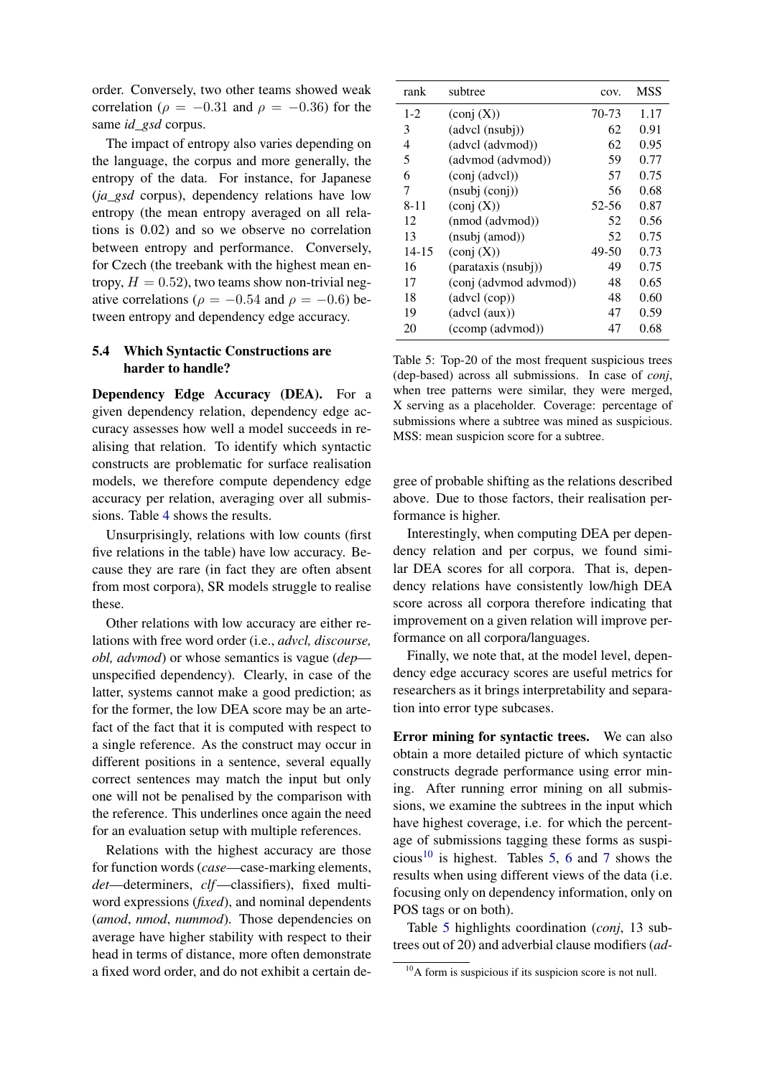order. Conversely, two other teams showed weak correlation ( $\rho = -0.31$  and  $\rho = -0.36$ ) for the same *id\_gsd* corpus.

The impact of entropy also varies depending on the language, the corpus and more generally, the entropy of the data. For instance, for Japanese (*ja\_gsd* corpus), dependency relations have low entropy (the mean entropy averaged on all relations is 0.02) and so we observe no correlation between entropy and performance. Conversely, for Czech (the treebank with the highest mean entropy,  $H = 0.52$ ), two teams show non-trivial negative correlations ( $\rho = -0.54$  and  $\rho = -0.6$ ) between entropy and dependency edge accuracy.

### <span id="page-9-2"></span>5.4 Which Syntactic Constructions are harder to handle?

Dependency Edge Accuracy (DEA). For a given dependency relation, dependency edge accuracy assesses how well a model succeeds in realising that relation. To identify which syntactic constructs are problematic for surface realisation models, we therefore compute dependency edge accuracy per relation, averaging over all submissions. Table [4](#page-8-1) shows the results.

Unsurprisingly, relations with low counts (first five relations in the table) have low accuracy. Because they are rare (in fact they are often absent from most corpora), SR models struggle to realise these.

Other relations with low accuracy are either relations with free word order (i.e., *advcl, discourse, obl, advmod*) or whose semantics is vague (*dep* unspecified dependency). Clearly, in case of the latter, systems cannot make a good prediction; as for the former, the low DEA score may be an artefact of the fact that it is computed with respect to a single reference. As the construct may occur in different positions in a sentence, several equally correct sentences may match the input but only one will not be penalised by the comparison with the reference. This underlines once again the need for an evaluation setup with multiple references.

Relations with the highest accuracy are those for function words (*case*—case-marking elements, *det*—determiners, *clf*—classifiers), fixed multiword expressions (*fixed*), and nominal dependents (*amod*, *nmod*, *nummod*). Those dependencies on average have higher stability with respect to their head in terms of distance, more often demonstrate a fixed word order, and do not exhibit a certain de-

<span id="page-9-1"></span>

| rank      | subtree                                             | COV.  | MSS  |
|-----------|-----------------------------------------------------|-------|------|
| $1-2$     | $\left(\text{conj }(\textbf{X})\right)$             | 70-73 | 1.17 |
| 3         | (advcl (nsubj))                                     | 62    | 0.91 |
| 4         | (advel (advmod))                                    | 62    | 0.95 |
| 5         | (advmod (advmod))                                   | 59    | 0.77 |
| 6         | $\left(\text{conj}\left(\text{advcl}\right)\right)$ | 57    | 0.75 |
| 7         | (nsubj (conj))                                      | 56    | 0.68 |
| $8 - 11$  | $\left(\text{conj }(\text{X})\right)$               | 52-56 | 0.87 |
| 12        | (nmod (advmod))                                     | 52    | 0.56 |
| 13        | (nsubj (amod))                                      | 52    | 0.75 |
| $14 - 15$ | $\left(\text{conj }(\text{X})\right)$               | 49-50 | 0.73 |
| 16        | (parataxis (nsubj))                                 | 49    | 0.75 |
| 17        | (conj (advmod advmod))                              | 48    | 0.65 |
| 18        | (advcl (cop))                                       | 48    | 0.60 |
| 19        | (advcl (aux))                                       | 47    | 0.59 |
| 20        | (ccomp (advmod))                                    | 47    | 0.68 |

Table 5: Top-20 of the most frequent suspicious trees (dep-based) across all submissions. In case of *conj*, when tree patterns were similar, they were merged, X serving as a placeholder. Coverage: percentage of submissions where a subtree was mined as suspicious. MSS: mean suspicion score for a subtree.

gree of probable shifting as the relations described above. Due to those factors, their realisation performance is higher.

Interestingly, when computing DEA per dependency relation and per corpus, we found similar DEA scores for all corpora. That is, dependency relations have consistently low/high DEA score across all corpora therefore indicating that improvement on a given relation will improve performance on all corpora/languages.

Finally, we note that, at the model level, dependency edge accuracy scores are useful metrics for researchers as it brings interpretability and separation into error type subcases.

Error mining for syntactic trees. We can also obtain a more detailed picture of which syntactic constructs degrade performance using error mining. After running error mining on all submissions, we examine the subtrees in the input which have highest coverage, i.e. for which the percentage of submissions tagging these forms as suspi-cious<sup>[10](#page-9-0)</sup> is highest. Tables [5,](#page-9-1) [6](#page-10-0) and [7](#page-10-1) shows the results when using different views of the data (i.e. focusing only on dependency information, only on POS tags or on both).

Table [5](#page-9-1) highlights coordination (*conj*, 13 subtrees out of 20) and adverbial clause modifiers (*ad-*

<span id="page-9-0"></span><sup>&</sup>lt;sup>10</sup>A form is suspicious if its suspicion score is not null.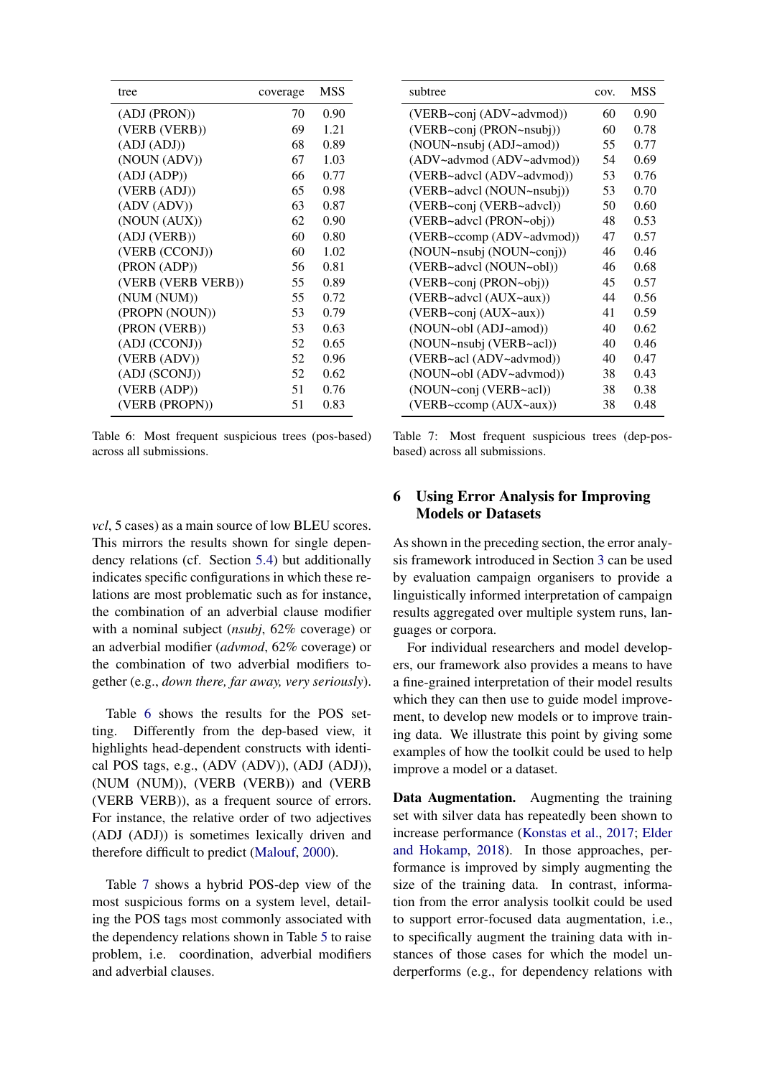<span id="page-10-0"></span>

| tree               | coverage | MSS  |
|--------------------|----------|------|
| (ADJ (PRON))       | 70       | 0.90 |
| (VERB (VERB))      | 69       | 1.21 |
| (ADI (ADI))        | 68       | 0.89 |
| (NOUN (ADV))       | 67       | 1.03 |
| (ADJ (ADP))        | 66       | 0.77 |
| (VERB (ADI))       | 65       | 0.98 |
| (ADV (ADV))        | 63       | 0.87 |
| (NOUN (AUX))       | 62       | 0.90 |
| (ADJ (VERB))       | 60       | 0.80 |
| (VERB (CCONJ))     | 60       | 1.02 |
| (PRON (ADP))       | 56       | 0.81 |
| (VERB (VERB VERB)) | 55       | 0.89 |
| (NUM (NUM))        | 55       | 0.72 |
| (PROPN (NOUN))     | 53       | 0.79 |
| (PRON (VERB))      | 53       | 0.63 |
| (ADJ (CCONJ))      | 52       | 0.65 |
| (VERB (ADV))       | 52       | 0.96 |
| (ADJ (SCONJ))      | 52       | 0.62 |
| (VERB (ADP))       | 51       | 0.76 |
| (VERB (PROPN))     | 51       | 0.83 |

Table 6: Most frequent suspicious trees (pos-based) across all submissions.

*vcl*, 5 cases) as a main source of low BLEU scores. This mirrors the results shown for single dependency relations (cf. Section [5.4\)](#page-9-2) but additionally indicates specific configurations in which these relations are most problematic such as for instance, the combination of an adverbial clause modifier with a nominal subject (*nsubj*, 62% coverage) or an adverbial modifier (*advmod*, 62% coverage) or the combination of two adverbial modifiers together (e.g., *down there, far away, very seriously*).

Table [6](#page-10-0) shows the results for the POS setting. Differently from the dep-based view, it highlights head-dependent constructs with identical POS tags, e.g., (ADV (ADV)), (ADJ (ADJ)), (NUM (NUM)), (VERB (VERB)) and (VERB (VERB VERB)), as a frequent source of errors. For instance, the relative order of two adjectives (ADJ (ADJ)) is sometimes lexically driven and therefore difficult to predict [\(Malouf,](#page-14-7) [2000\)](#page-14-7).

Table [7](#page-10-1) shows a hybrid POS-dep view of the most suspicious forms on a system level, detailing the POS tags most commonly associated with the dependency relations shown in Table [5](#page-9-1) to raise problem, i.e. coordination, adverbial modifiers and adverbial clauses.

<span id="page-10-1"></span>

| subtree                   | COV. | <b>MSS</b> |
|---------------------------|------|------------|
| (VERB~conj (ADV~advmod))  | 60   | 0.90       |
| (VERB~conj (PRON~nsubj))  | 60   | 0.78       |
| (NOUN~nsubj (ADJ~amod))   | 55   | 0.77       |
| (ADV~advmod (ADV~advmod)) | 54   | 0.69       |
| (VERB~advcl (ADV~advmod)) | 53   | 0.76       |
| (VERB~advcl (NOUN~nsubj)) | 53   | 0.70       |
| (VERB~conj (VERB~advcl))  | 50   | 0.60       |
| (VERB~advcl (PRON~obj))   | 48   | 0.53       |
| (VERB~ccomp (ADV~advmod)) | 47   | 0.57       |
| (NOUN~nsubj (NOUN~conj))  | 46   | 0.46       |
| (VERB~advcl (NOUN~obl))   | 46   | 0.68       |
| (VERB~conj (PRON~obj))    | 45   | 0.57       |
| (VERB~advcl (AUX~aux))    | 44   | 0.56       |
| (VERB~conj (AUX~aux))     | 41   | 0.59       |
| (NOUN~obl (ADJ~amod))     | 40   | 0.62       |
| (NOUN~nsubj (VERB~acl))   | 40   | 0.46       |
| (VERB~acl (ADV~advmod))   | 40   | 0.47       |
| (NOUN~obl (ADV~advmod))   | 38   | 0.43       |
| (NOUN~conj (VERB~acl))    | 38   | 0.38       |
| (VERB~ccomp (AUX~aux))    | 38   | 0.48       |

Table 7: Most frequent suspicious trees (dep-posbased) across all submissions.

# 6 Using Error Analysis for Improving Models or Datasets

As shown in the preceding section, the error analysis framework introduced in Section [3](#page-2-1) can be used by evaluation campaign organisers to provide a linguistically informed interpretation of campaign results aggregated over multiple system runs, languages or corpora.

For individual researchers and model developers, our framework also provides a means to have a fine-grained interpretation of their model results which they can then use to guide model improvement, to develop new models or to improve training data. We illustrate this point by giving some examples of how the toolkit could be used to help improve a model or a dataset.

Data Augmentation. Augmenting the training set with silver data has repeatedly been shown to increase performance [\(Konstas et al.,](#page-13-14) [2017;](#page-13-14) [Elder](#page-12-11) [and Hokamp,](#page-12-11) [2018\)](#page-12-11). In those approaches, performance is improved by simply augmenting the size of the training data. In contrast, information from the error analysis toolkit could be used to support error-focused data augmentation, i.e., to specifically augment the training data with instances of those cases for which the model underperforms (e.g., for dependency relations with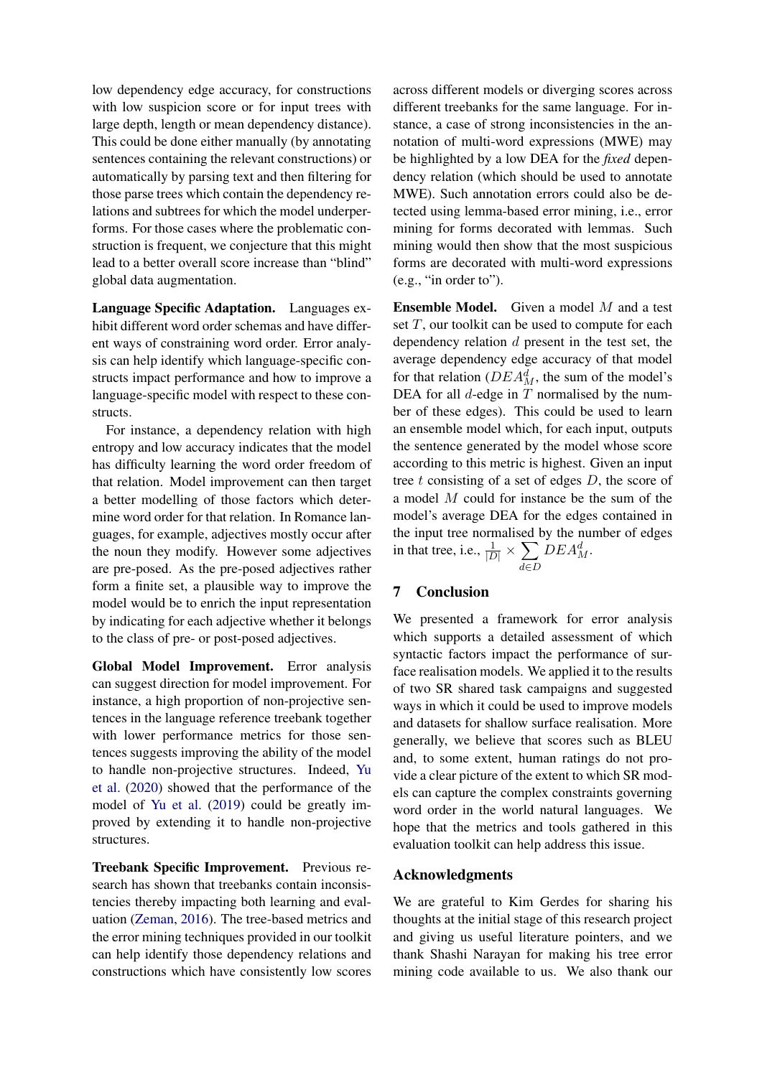low dependency edge accuracy, for constructions with low suspicion score or for input trees with large depth, length or mean dependency distance). This could be done either manually (by annotating sentences containing the relevant constructions) or automatically by parsing text and then filtering for those parse trees which contain the dependency relations and subtrees for which the model underperforms. For those cases where the problematic construction is frequent, we conjecture that this might lead to a better overall score increase than "blind" global data augmentation.

Language Specific Adaptation. Languages exhibit different word order schemas and have different ways of constraining word order. Error analysis can help identify which language-specific constructs impact performance and how to improve a language-specific model with respect to these constructs.

For instance, a dependency relation with high entropy and low accuracy indicates that the model has difficulty learning the word order freedom of that relation. Model improvement can then target a better modelling of those factors which determine word order for that relation. In Romance languages, for example, adjectives mostly occur after the noun they modify. However some adjectives are pre-posed. As the pre-posed adjectives rather form a finite set, a plausible way to improve the model would be to enrich the input representation by indicating for each adjective whether it belongs to the class of pre- or post-posed adjectives.

Global Model Improvement. Error analysis can suggest direction for model improvement. For instance, a high proportion of non-projective sentences in the language reference treebank together with lower performance metrics for those sentences suggests improving the ability of the model to handle non-projective structures. Indeed, [Yu](#page-16-5) [et al.](#page-16-5) [\(2020\)](#page-16-5) showed that the performance of the model of [Yu et al.](#page-16-4) [\(2019\)](#page-16-4) could be greatly improved by extending it to handle non-projective structures.

Treebank Specific Improvement. Previous research has shown that treebanks contain inconsistencies thereby impacting both learning and evaluation [\(Zeman,](#page-16-6) [2016\)](#page-16-6). The tree-based metrics and the error mining techniques provided in our toolkit can help identify those dependency relations and constructions which have consistently low scores

across different models or diverging scores across different treebanks for the same language. For instance, a case of strong inconsistencies in the annotation of multi-word expressions (MWE) may be highlighted by a low DEA for the *fixed* dependency relation (which should be used to annotate MWE). Such annotation errors could also be detected using lemma-based error mining, i.e., error mining for forms decorated with lemmas. Such mining would then show that the most suspicious forms are decorated with multi-word expressions (e.g., "in order to").

**Ensemble Model.** Given a model  $M$  and a test set  $T$ , our toolkit can be used to compute for each dependency relation  $d$  present in the test set, the average dependency edge accuracy of that model for that relation ( $DEA_M^d$ , the sum of the model's DEA for all  $d$ -edge in  $T$  normalised by the number of these edges). This could be used to learn an ensemble model which, for each input, outputs the sentence generated by the model whose score according to this metric is highest. Given an input tree  $t$  consisting of a set of edges  $D$ , the score of a model M could for instance be the sum of the model's average DEA for the edges contained in the input tree normalised by the number of edges in that tree, i.e.,  $\frac{1}{|D|} \times \sum$ d∈D  $DEA_M^d$ .

## 7 Conclusion

We presented a framework for error analysis which supports a detailed assessment of which syntactic factors impact the performance of surface realisation models. We applied it to the results of two SR shared task campaigns and suggested ways in which it could be used to improve models and datasets for shallow surface realisation. More generally, we believe that scores such as BLEU and, to some extent, human ratings do not provide a clear picture of the extent to which SR models can capture the complex constraints governing word order in the world natural languages. We hope that the metrics and tools gathered in this evaluation toolkit can help address this issue.

### Acknowledgments

We are grateful to Kim Gerdes for sharing his thoughts at the initial stage of this research project and giving us useful literature pointers, and we thank Shashi Narayan for making his tree error mining code available to us. We also thank our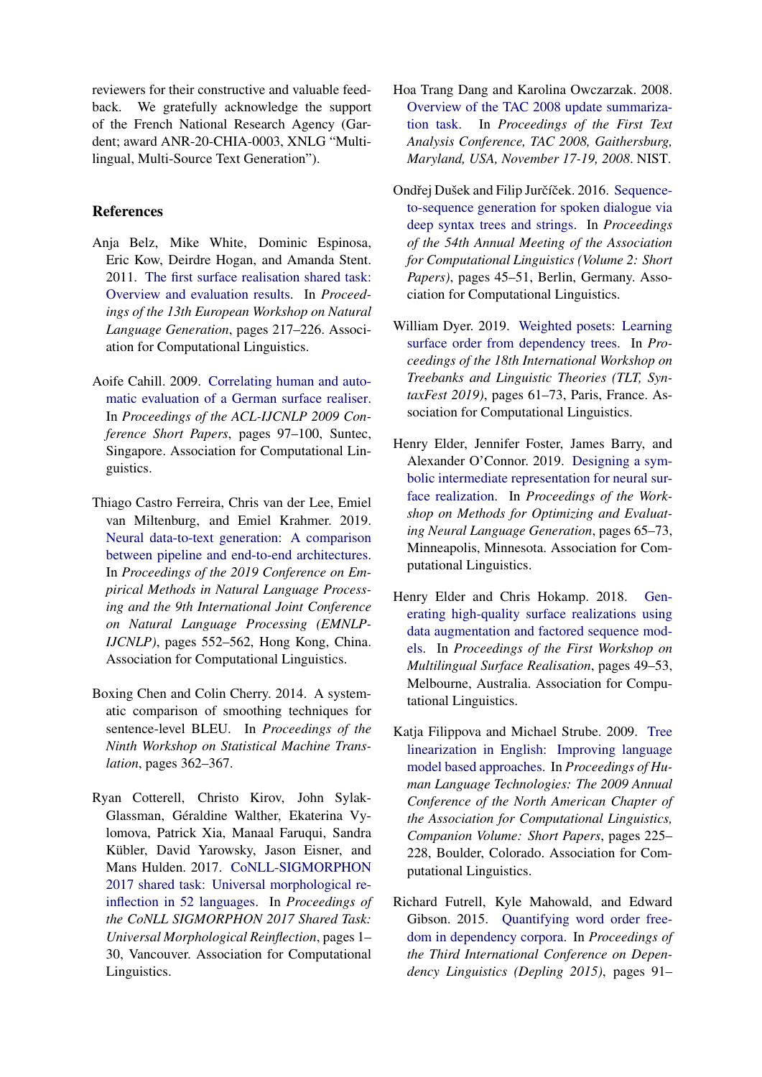reviewers for their constructive and valuable feedback. We gratefully acknowledge the support of the French National Research Agency (Gardent; award ANR-20-CHIA-0003, XNLG "Multilingual, Multi-Source Text Generation").

# References

- <span id="page-12-3"></span>Anja Belz, Mike White, Dominic Espinosa, Eric Kow, Deirdre Hogan, and Amanda Stent. 2011. [The first surface realisation shared task:](http://aclweb.org/anthology/W11-2832) [Overview and evaluation results.](http://aclweb.org/anthology/W11-2832) In *Proceedings of the 13th European Workshop on Natural Language Generation*, pages 217–226. Association for Computational Linguistics.
- <span id="page-12-7"></span>Aoife Cahill. 2009. [Correlating human and auto](https://www.aclweb.org/anthology/P09-2025)[matic evaluation of a German surface realiser.](https://www.aclweb.org/anthology/P09-2025) In *Proceedings of the ACL-IJCNLP 2009 Conference Short Papers*, pages 97–100, Suntec, Singapore. Association for Computational Linguistics.
- <span id="page-12-1"></span>Thiago Castro Ferreira, Chris van der Lee, Emiel van Miltenburg, and Emiel Krahmer. 2019. [Neural data-to-text generation: A comparison](https://doi.org/10.18653/v1/D19-1052) [between pipeline and end-to-end architectures.](https://doi.org/10.18653/v1/D19-1052) In *Proceedings of the 2019 Conference on Empirical Methods in Natural Language Processing and the 9th International Joint Conference on Natural Language Processing (EMNLP-IJCNLP)*, pages 552–562, Hong Kong, China. Association for Computational Linguistics.
- <span id="page-12-10"></span>Boxing Chen and Colin Cherry. 2014. A systematic comparison of smoothing techniques for sentence-level BLEU. In *Proceedings of the Ninth Workshop on Statistical Machine Translation*, pages 362–367.
- <span id="page-12-4"></span>Ryan Cotterell, Christo Kirov, John Sylak-Glassman, Géraldine Walther, Ekaterina Vylomova, Patrick Xia, Manaal Faruqui, Sandra Kübler, David Yarowsky, Jason Eisner, and Mans Hulden. 2017. [CoNLL-SIGMORPHON](https://doi.org/10.18653/v1/K17-2001) [2017 shared task: Universal morphological re](https://doi.org/10.18653/v1/K17-2001)[inflection in 52 languages.](https://doi.org/10.18653/v1/K17-2001) In *Proceedings of the CoNLL SIGMORPHON 2017 Shared Task: Universal Morphological Reinflection*, pages 1– 30, Vancouver. Association for Computational Linguistics.
- <span id="page-12-6"></span>Hoa Trang Dang and Karolina Owczarzak. 2008. [Overview of the TAC 2008 update summariza](https://tac.nist.gov/publications/2008/additional.papers/update_summ_overview08.proceedings.pdf)[tion task.](https://tac.nist.gov/publications/2008/additional.papers/update_summ_overview08.proceedings.pdf) In *Proceedings of the First Text Analysis Conference, TAC 2008, Gaithersburg, Maryland, USA, November 17-19, 2008*. NIST.
- <span id="page-12-0"></span>Ondřej Dušek and Filip Jurčíček. 2016. [Sequence](https://doi.org/10.18653/v1/P16-2008)[to-sequence generation for spoken dialogue via](https://doi.org/10.18653/v1/P16-2008) [deep syntax trees and strings.](https://doi.org/10.18653/v1/P16-2008) In *Proceedings of the 54th Annual Meeting of the Association for Computational Linguistics (Volume 2: Short Papers)*, pages 45–51, Berlin, Germany. Association for Computational Linguistics.
- <span id="page-12-9"></span>William Dyer. 2019. [Weighted posets: Learning](https://doi.org/10.18653/v1/W19-7807) [surface order from dependency trees.](https://doi.org/10.18653/v1/W19-7807) In *Proceedings of the 18th International Workshop on Treebanks and Linguistic Theories (TLT, SyntaxFest 2019)*, pages 61–73, Paris, France. Association for Computational Linguistics.
- <span id="page-12-2"></span>Henry Elder, Jennifer Foster, James Barry, and Alexander O'Connor. 2019. [Designing a sym](https://doi.org/10.18653/v1/W19-2308)[bolic intermediate representation for neural sur](https://doi.org/10.18653/v1/W19-2308)[face realization.](https://doi.org/10.18653/v1/W19-2308) In *Proceedings of the Workshop on Methods for Optimizing and Evaluating Neural Language Generation*, pages 65–73, Minneapolis, Minnesota. Association for Computational Linguistics.
- <span id="page-12-11"></span>Henry Elder and Chris Hokamp. 2018. [Gen](https://doi.org/10.18653/v1/W18-3606)[erating high-quality surface realizations using](https://doi.org/10.18653/v1/W18-3606) [data augmentation and factored sequence mod](https://doi.org/10.18653/v1/W18-3606)[els.](https://doi.org/10.18653/v1/W18-3606) In *Proceedings of the First Workshop on Multilingual Surface Realisation*, pages 49–53, Melbourne, Australia. Association for Computational Linguistics.
- <span id="page-12-8"></span>Katja Filippova and Michael Strube. 2009. [Tree](https://www.aclweb.org/anthology/N09-2057) [linearization in English: Improving language](https://www.aclweb.org/anthology/N09-2057) [model based approaches.](https://www.aclweb.org/anthology/N09-2057) In *Proceedings of Human Language Technologies: The 2009 Annual Conference of the North American Chapter of the Association for Computational Linguistics, Companion Volume: Short Papers*, pages 225– 228, Boulder, Colorado. Association for Computational Linguistics.
- <span id="page-12-5"></span>Richard Futrell, Kyle Mahowald, and Edward Gibson. 2015. [Quantifying word order free](https://www.aclweb.org/anthology/W15-2112)[dom in dependency corpora.](https://www.aclweb.org/anthology/W15-2112) In *Proceedings of the Third International Conference on Dependency Linguistics (Depling 2015)*, pages 91–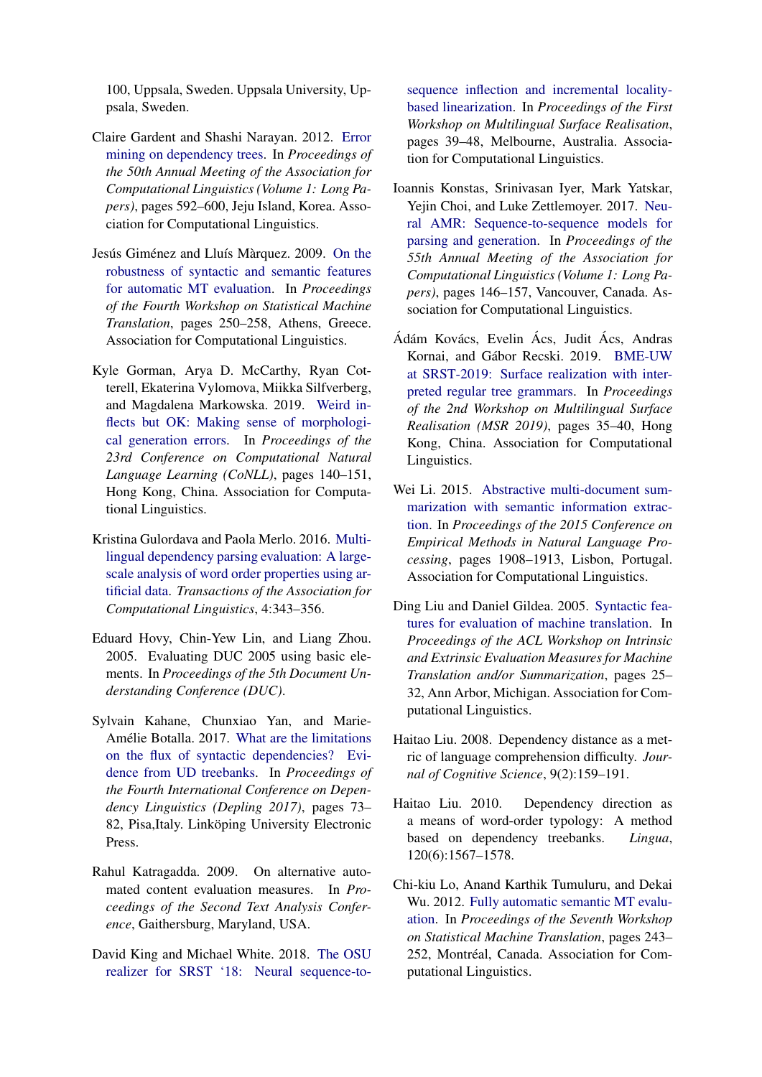100, Uppsala, Sweden. Uppsala University, Uppsala, Sweden.

- <span id="page-13-9"></span>Claire Gardent and Shashi Narayan. 2012. [Error](https://www.aclweb.org/anthology/P12-1062) [mining on dependency trees.](https://www.aclweb.org/anthology/P12-1062) In *Proceedings of the 50th Annual Meeting of the Association for Computational Linguistics (Volume 1: Long Papers)*, pages 592–600, Jeju Island, Korea. Association for Computational Linguistics.
- <span id="page-13-5"></span>Jesús Giménez and Lluís Màrquez. 2009. [On the](https://www.aclweb.org/anthology/W09-0440) [robustness of syntactic and semantic features](https://www.aclweb.org/anthology/W09-0440) [for automatic MT evaluation.](https://www.aclweb.org/anthology/W09-0440) In *Proceedings of the Fourth Workshop on Statistical Machine Translation*, pages 250–258, Athens, Greece. Association for Computational Linguistics.
- <span id="page-13-1"></span>Kyle Gorman, Arya D. McCarthy, Ryan Cotterell, Ekaterina Vylomova, Miikka Silfverberg, and Magdalena Markowska. 2019. [Weird in](https://doi.org/10.18653/v1/K19-1014)[flects but OK: Making sense of morphologi](https://doi.org/10.18653/v1/K19-1014)[cal generation errors.](https://doi.org/10.18653/v1/K19-1014) In *Proceedings of the 23rd Conference on Computational Natural Language Learning (CoNLL)*, pages 140–151, Hong Kong, China. Association for Computational Linguistics.
- <span id="page-13-12"></span>Kristina Gulordava and Paola Merlo. 2016. [Multi](https://doi.org/10.1162/tacl_a_00103)[lingual dependency parsing evaluation: A large](https://doi.org/10.1162/tacl_a_00103)[scale analysis of word order properties using ar](https://doi.org/10.1162/tacl_a_00103)[tificial data.](https://doi.org/10.1162/tacl_a_00103) *Transactions of the Association for Computational Linguistics*, 4:343–356.
- <span id="page-13-7"></span>Eduard Hovy, Chin-Yew Lin, and Liang Zhou. 2005. Evaluating DUC 2005 using basic elements. In *Proceedings of the 5th Document Understanding Conference (DUC)*.
- <span id="page-13-3"></span>Sylvain Kahane, Chunxiao Yan, and Marie-Amélie Botalla. 2017. [What are the limitations](https://www.aclweb.org/anthology/W17-6510) [on the flux of syntactic dependencies? Evi](https://www.aclweb.org/anthology/W17-6510)[dence from UD treebanks.](https://www.aclweb.org/anthology/W17-6510) In *Proceedings of the Fourth International Conference on Dependency Linguistics (Depling 2017)*, pages 73– 82, Pisa,Italy. Linköping University Electronic Press.
- <span id="page-13-8"></span>Rahul Katragadda. 2009. On alternative automated content evaluation measures. In *Proceedings of the Second Text Analysis Conference*, Gaithersburg, Maryland, USA.
- <span id="page-13-10"></span>David King and Michael White. 2018. [The OSU](https://doi.org/10.18653/v1/W18-3605) [realizer for SRST '18: Neural sequence-to-](https://doi.org/10.18653/v1/W18-3605)

[sequence inflection and incremental locality](https://doi.org/10.18653/v1/W18-3605)[based linearization.](https://doi.org/10.18653/v1/W18-3605) In *Proceedings of the First Workshop on Multilingual Surface Realisation*, pages 39–48, Melbourne, Australia. Association for Computational Linguistics.

- <span id="page-13-14"></span>Ioannis Konstas, Srinivasan Iyer, Mark Yatskar, Yejin Choi, and Luke Zettlemoyer. 2017. [Neu](https://doi.org/10.18653/v1/P17-1014)[ral AMR: Sequence-to-sequence models for](https://doi.org/10.18653/v1/P17-1014) [parsing and generation.](https://doi.org/10.18653/v1/P17-1014) In *Proceedings of the 55th Annual Meeting of the Association for Computational Linguistics (Volume 1: Long Papers)*, pages 146–157, Vancouver, Canada. Association for Computational Linguistics.
- <span id="page-13-13"></span>Ádám Kovács, Evelin Ács, Judit Ács, Andras Kornai, and Gábor Recski. 2019. [BME-UW](https://doi.org/10.18653/v1/D19-6304) [at SRST-2019: Surface realization with inter](https://doi.org/10.18653/v1/D19-6304)[preted regular tree grammars.](https://doi.org/10.18653/v1/D19-6304) In *Proceedings of the 2nd Workshop on Multilingual Surface Realisation (MSR 2019)*, pages 35–40, Hong Kong, China. Association for Computational Linguistics.
- <span id="page-13-0"></span>Wei Li. 2015. [Abstractive multi-document sum](https://doi.org/10.18653/v1/D15-1219)[marization with semantic information extrac](https://doi.org/10.18653/v1/D15-1219)[tion.](https://doi.org/10.18653/v1/D15-1219) In *Proceedings of the 2015 Conference on Empirical Methods in Natural Language Processing*, pages 1908–1913, Lisbon, Portugal. Association for Computational Linguistics.
- <span id="page-13-4"></span>Ding Liu and Daniel Gildea. 2005. [Syntactic fea](https://www.aclweb.org/anthology/W05-0904)[tures for evaluation of machine translation.](https://www.aclweb.org/anthology/W05-0904) In *Proceedings of the ACL Workshop on Intrinsic and Extrinsic Evaluation Measures for Machine Translation and/or Summarization*, pages 25– 32, Ann Arbor, Michigan. Association for Computational Linguistics.
- <span id="page-13-2"></span>Haitao Liu. 2008. Dependency distance as a metric of language comprehension difficulty. *Journal of Cognitive Science*, 9(2):159–191.
- <span id="page-13-11"></span>Haitao Liu. 2010. Dependency direction as a means of word-order typology: A method based on dependency treebanks. *Lingua*, 120(6):1567–1578.
- <span id="page-13-6"></span>Chi-kiu Lo, Anand Karthik Tumuluru, and Dekai Wu. 2012. [Fully automatic semantic MT evalu](https://www.aclweb.org/anthology/W12-3129)[ation.](https://www.aclweb.org/anthology/W12-3129) In *Proceedings of the Seventh Workshop on Statistical Machine Translation*, pages 243– 252, Montréal, Canada. Association for Computational Linguistics.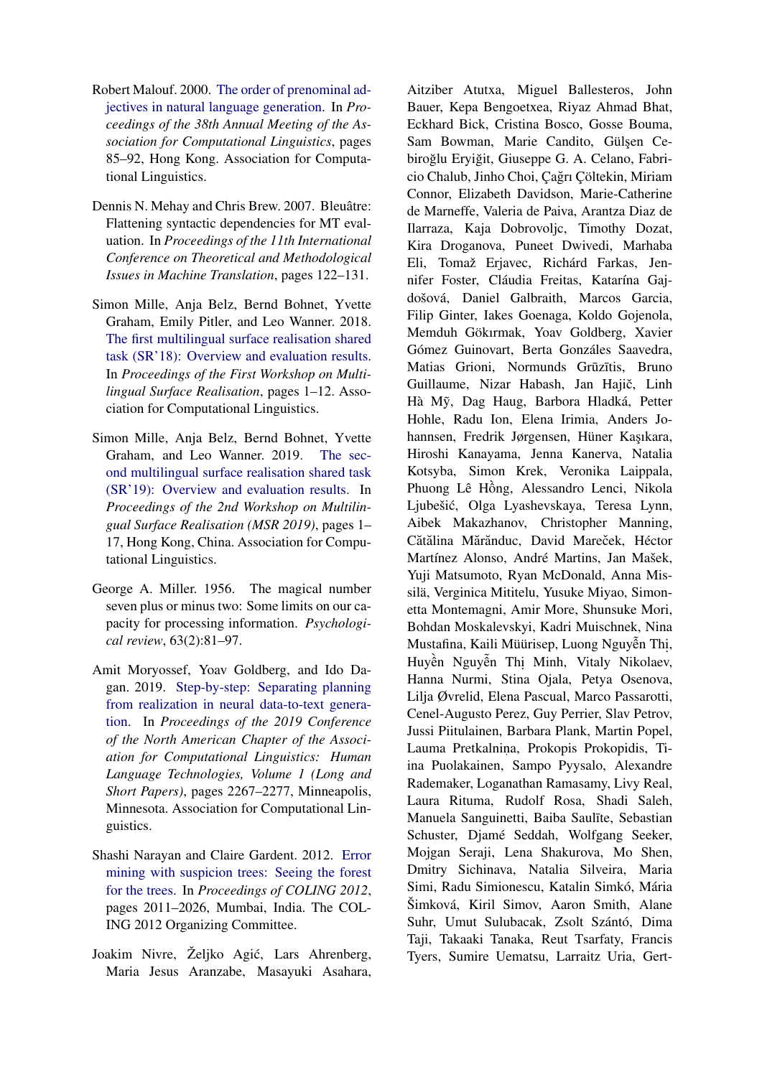- <span id="page-14-7"></span>Robert Malouf. 2000. [The order of prenominal ad](https://doi.org/10.3115/1075218.1075230)[jectives in natural language generation.](https://doi.org/10.3115/1075218.1075230) In *Proceedings of the 38th Annual Meeting of the Association for Computational Linguistics*, pages 85–92, Hong Kong. Association for Computational Linguistics.
- <span id="page-14-3"></span>Dennis N. Mehay and Chris Brew. 2007. Bleuâtre: Flattening syntactic dependencies for MT evaluation. In *Proceedings of the 11th International Conference on Theoretical and Methodological Issues in Machine Translation*, pages 122–131.
- <span id="page-14-1"></span>Simon Mille, Anja Belz, Bernd Bohnet, Yvette Graham, Emily Pitler, and Leo Wanner. 2018. [The first multilingual surface realisation shared](http://aclweb.org/anthology/W18-3601) [task \(SR'18\): Overview and evaluation results.](http://aclweb.org/anthology/W18-3601) In *Proceedings of the First Workshop on Multilingual Surface Realisation*, pages 1–12. Association for Computational Linguistics.
- <span id="page-14-2"></span>Simon Mille, Anja Belz, Bernd Bohnet, Yvette Graham, and Leo Wanner. 2019. [The sec](https://doi.org/10.18653/v1/D19-6301)[ond multilingual surface realisation shared task](https://doi.org/10.18653/v1/D19-6301) [\(SR'19\): Overview and evaluation results.](https://doi.org/10.18653/v1/D19-6301) In *Proceedings of the 2nd Workshop on Multilingual Surface Realisation (MSR 2019)*, pages 1– 17, Hong Kong, China. Association for Computational Linguistics.
- <span id="page-14-5"></span>George A. Miller. 1956. The magical number seven plus or minus two: Some limits on our capacity for processing information. *Psychological review*, 63(2):81–97.
- <span id="page-14-0"></span>Amit Moryossef, Yoav Goldberg, and Ido Dagan. 2019. [Step-by-step: Separating planning](https://doi.org/10.18653/v1/N19-1236) [from realization in neural data-to-text genera](https://doi.org/10.18653/v1/N19-1236)[tion.](https://doi.org/10.18653/v1/N19-1236) In *Proceedings of the 2019 Conference of the North American Chapter of the Association for Computational Linguistics: Human Language Technologies, Volume 1 (Long and Short Papers)*, pages 2267–2277, Minneapolis, Minnesota. Association for Computational Linguistics.
- <span id="page-14-4"></span>Shashi Narayan and Claire Gardent. 2012. [Error](https://www.aclweb.org/anthology/C12-1123) [mining with suspicion trees: Seeing the forest](https://www.aclweb.org/anthology/C12-1123) [for the trees.](https://www.aclweb.org/anthology/C12-1123) In *Proceedings of COLING 2012*, pages 2011–2026, Mumbai, India. The COL-ING 2012 Organizing Committee.
- <span id="page-14-6"></span>Joakim Nivre, Željko Agic, Lars Ahrenberg, ´ Maria Jesus Aranzabe, Masayuki Asahara,

Aitziber Atutxa, Miguel Ballesteros, John Bauer, Kepa Bengoetxea, Riyaz Ahmad Bhat, Eckhard Bick, Cristina Bosco, Gosse Bouma, Sam Bowman, Marie Candito, Gülşen Cebiroğlu Eryiğit, Giuseppe G. A. Celano, Fabricio Chalub, Jinho Choi, Cağrı Cöltekin, Miriam Connor, Elizabeth Davidson, Marie-Catherine de Marneffe, Valeria de Paiva, Arantza Diaz de Ilarraza, Kaja Dobrovoljc, Timothy Dozat, Kira Droganova, Puneet Dwivedi, Marhaba Eli, Tomaž Erjavec, Richárd Farkas, Jennifer Foster, Cláudia Freitas, Katarína Gajdošová, Daniel Galbraith, Marcos Garcia, Filip Ginter, Iakes Goenaga, Koldo Gojenola, Memduh Gökırmak, Yoav Goldberg, Xavier Gómez Guinovart, Berta Gonzáles Saavedra, Matias Grioni, Normunds Grūzītis, Bruno Guillaume, Nizar Habash, Jan Hajič, Linh Hà Mỹ, Dag Haug, Barbora Hladká, Petter Hohle, Radu Ion, Elena Irimia, Anders Johannsen, Fredrik Jørgensen, Hüner Kaşıkara, Hiroshi Kanayama, Jenna Kanerva, Natalia Kotsyba, Simon Krek, Veronika Laippala, Phuong Lê Hông, Alessandro Lenci, Nikola ` Ljubešic, Olga Lyashevskaya, Teresa Lynn, ´ Aibek Makazhanov, Christopher Manning, Cătălina Mărănduc, David Mareček, Héctor Martínez Alonso, André Martins, Jan Mašek, Yuji Matsumoto, Ryan McDonald, Anna Missilä, Verginica Mititelu, Yusuke Miyao, Simonetta Montemagni, Amir More, Shunsuke Mori, Bohdan Moskalevskyi, Kadri Muischnek, Nina Mustafina, Kaili Müürisep, Luong Nguyễn Thị, Huyền Nguyễn Thị Minh, Vitaly Nikolaev, Hanna Nurmi, Stina Ojala, Petya Osenova, Lilja Øvrelid, Elena Pascual, Marco Passarotti, Cenel-Augusto Perez, Guy Perrier, Slav Petrov, Jussi Piitulainen, Barbara Plank, Martin Popel, Lauma Pretkalnina, Prokopis Prokopidis, Tiina Puolakainen, Sampo Pyysalo, Alexandre Rademaker, Loganathan Ramasamy, Livy Real, Laura Rituma, Rudolf Rosa, Shadi Saleh, Manuela Sanguinetti, Baiba Saulīte, Sebastian Schuster, Djamé Seddah, Wolfgang Seeker, Mojgan Seraji, Lena Shakurova, Mo Shen, Dmitry Sichinava, Natalia Silveira, Maria Simi, Radu Simionescu, Katalin Simkó, Mária Šimková, Kiril Simov, Aaron Smith, Alane Suhr, Umut Sulubacak, Zsolt Szántó, Dima Taji, Takaaki Tanaka, Reut Tsarfaty, Francis Tyers, Sumire Uematsu, Larraitz Uria, Gert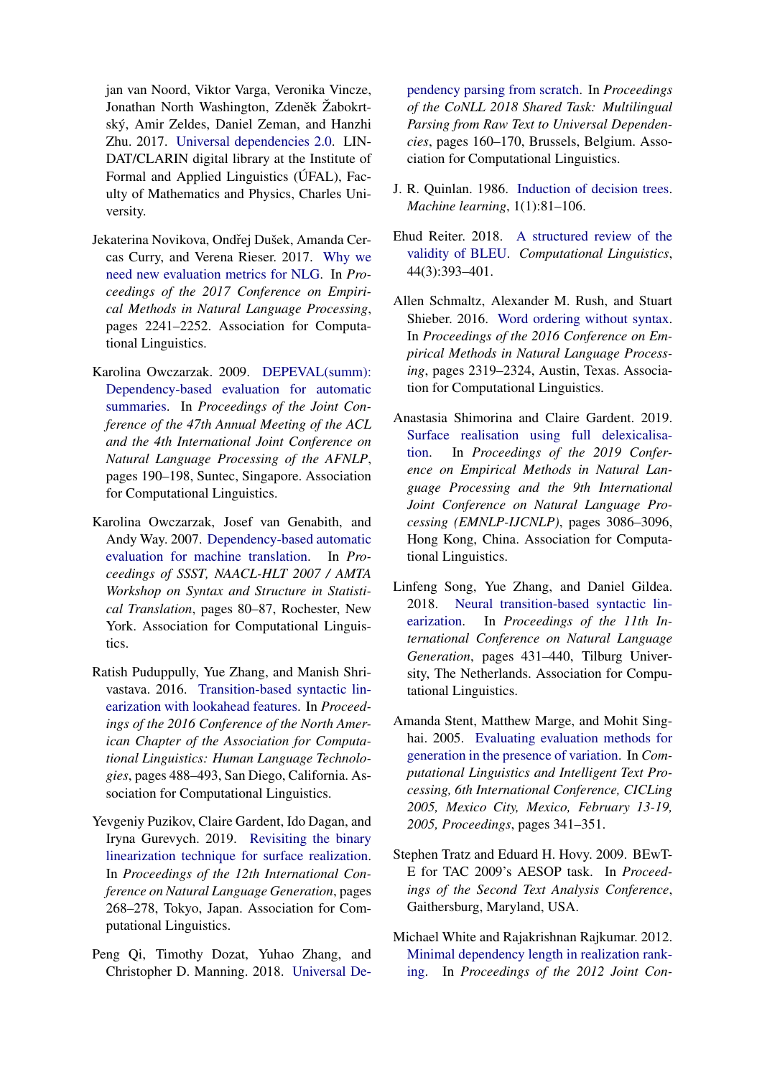jan van Noord, Viktor Varga, Veronika Vincze, Jonathan North Washington, Zdeněk Žabokrtský, Amir Zeldes, Daniel Zeman, and Hanzhi Zhu. 2017. [Universal dependencies 2.0.](http://hdl.handle.net/11234/1-1983) LIN-DAT/CLARIN digital library at the Institute of Formal and Applied Linguistics (ÚFAL), Faculty of Mathematics and Physics, Charles University.

- <span id="page-15-12"></span>Jekaterina Novikova, Ondřej Dušek, Amanda Cercas Curry, and Verena Rieser. 2017. [Why we](http://aclweb.org/anthology/D17-1238) [need new evaluation metrics for NLG.](http://aclweb.org/anthology/D17-1238) In *Proceedings of the 2017 Conference on Empirical Methods in Natural Language Processing*, pages 2241–2252. Association for Computational Linguistics.
- <span id="page-15-1"></span>Karolina Owczarzak. 2009. [DEPEVAL\(summ\):](https://www.aclweb.org/anthology/P09-1022) [Dependency-based evaluation for automatic](https://www.aclweb.org/anthology/P09-1022) [summaries.](https://www.aclweb.org/anthology/P09-1022) In *Proceedings of the Joint Conference of the 47th Annual Meeting of the ACL and the 4th International Joint Conference on Natural Language Processing of the AFNLP*, pages 190–198, Suntec, Singapore. Association for Computational Linguistics.
- <span id="page-15-2"></span>Karolina Owczarzak, Josef van Genabith, and Andy Way. 2007. [Dependency-based automatic](https://www.aclweb.org/anthology/W07-0411) [evaluation for machine translation.](https://www.aclweb.org/anthology/W07-0411) In *Proceedings of SSST, NAACL-HLT 2007 / AMTA Workshop on Syntax and Structure in Statistical Translation*, pages 80–87, Rochester, New York. Association for Computational Linguistics.
- <span id="page-15-3"></span>Ratish Puduppully, Yue Zhang, and Manish Shrivastava. 2016. [Transition-based syntactic lin](https://doi.org/10.18653/v1/N16-1058)[earization with lookahead features.](https://doi.org/10.18653/v1/N16-1058) In *Proceedings of the 2016 Conference of the North American Chapter of the Association for Computational Linguistics: Human Language Technologies*, pages 488–493, San Diego, California. Association for Computational Linguistics.
- <span id="page-15-7"></span>Yevgeniy Puzikov, Claire Gardent, Ido Dagan, and Iryna Gurevych. 2019. [Revisiting the binary](https://doi.org/10.18653/v1/W19-8635) [linearization technique for surface realization.](https://doi.org/10.18653/v1/W19-8635) In *Proceedings of the 12th International Conference on Natural Language Generation*, pages 268–278, Tokyo, Japan. Association for Computational Linguistics.
- <span id="page-15-10"></span>Peng Qi, Timothy Dozat, Yuhao Zhang, and Christopher D. Manning. 2018. [Universal De-](https://doi.org/10.18653/v1/K18-2016)

[pendency parsing from scratch.](https://doi.org/10.18653/v1/K18-2016) In *Proceedings of the CoNLL 2018 Shared Task: Multilingual Parsing from Raw Text to Universal Dependencies*, pages 160–170, Brussels, Belgium. Association for Computational Linguistics.

- <span id="page-15-9"></span>J. R. Quinlan. 1986. [Induction of decision trees.](https://doi.org/https://doi.org/10.1007/BF00116251) *Machine learning*, 1(1):81–106.
- <span id="page-15-13"></span>Ehud Reiter. 2018. [A structured review of the](https://doi.org/10.1162/coli_a_00322) [validity of BLEU.](https://doi.org/10.1162/coli_a_00322) *Computational Linguistics*, 44(3):393–401.
- <span id="page-15-5"></span>Allen Schmaltz, Alexander M. Rush, and Stuart Shieber. 2016. [Word ordering without syntax.](https://doi.org/10.18653/v1/D16-1255) In *Proceedings of the 2016 Conference on Empirical Methods in Natural Language Processing*, pages 2319–2324, Austin, Texas. Association for Computational Linguistics.
- <span id="page-15-8"></span>Anastasia Shimorina and Claire Gardent. 2019. [Surface realisation using full delexicalisa](https://doi.org/10.18653/v1/D19-1305)[tion.](https://doi.org/10.18653/v1/D19-1305) In *Proceedings of the 2019 Conference on Empirical Methods in Natural Language Processing and the 9th International Joint Conference on Natural Language Processing (EMNLP-IJCNLP)*, pages 3086–3096, Hong Kong, China. Association for Computational Linguistics.
- <span id="page-15-4"></span>Linfeng Song, Yue Zhang, and Daniel Gildea. 2018. [Neural transition-based syntactic lin](https://doi.org/10.18653/v1/W18-6553)[earization.](https://doi.org/10.18653/v1/W18-6553) In *Proceedings of the 11th International Conference on Natural Language Generation*, pages 431–440, Tilburg University, The Netherlands. Association for Computational Linguistics.
- <span id="page-15-11"></span>Amanda Stent, Matthew Marge, and Mohit Singhai. 2005. [Evaluating evaluation methods for](https://doi.org/10.1007/978-3-540-30586-6_38) [generation in the presence of variation.](https://doi.org/10.1007/978-3-540-30586-6_38) In *Computational Linguistics and Intelligent Text Processing, 6th International Conference, CICLing 2005, Mexico City, Mexico, February 13-19, 2005, Proceedings*, pages 341–351.
- <span id="page-15-0"></span>Stephen Tratz and Eduard H. Hovy. 2009. BEwT-E for TAC 2009's AESOP task. In *Proceedings of the Second Text Analysis Conference*, Gaithersburg, Maryland, USA.
- <span id="page-15-6"></span>Michael White and Rajakrishnan Rajkumar. 2012. [Minimal dependency length in realization rank](https://www.aclweb.org/anthology/D12-1023)[ing.](https://www.aclweb.org/anthology/D12-1023) In *Proceedings of the 2012 Joint Con-*